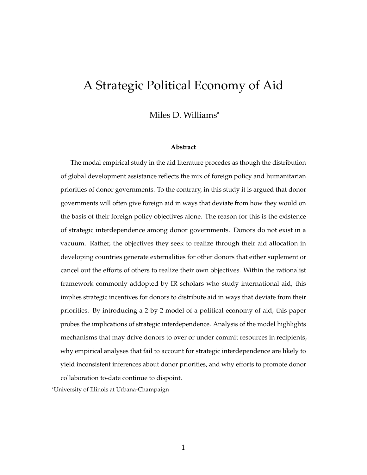# <span id="page-0-0"></span>A Strategic Political Economy of Aid

Miles D. Williams\*

#### **Abstract**

The modal empirical study in the aid literature procedes as though the distribution of global development assistance reflects the mix of foreign policy and humanitarian priorities of donor governments. To the contrary, in this study it is argued that donor governments will often give foreign aid in ways that deviate from how they would on the basis of their foreign policy objectives alone. The reason for this is the existence of strategic interdependence among donor governments. Donors do not exist in a vacuum. Rather, the objectives they seek to realize through their aid allocation in developing countries generate externalities for other donors that either suplement or cancel out the efforts of others to realize their own objectives. Within the rationalist framework commonly addopted by IR scholars who study international aid, this implies strategic incentives for donors to distribute aid in ways that deviate from their priorities. By introducing a 2-by-2 model of a political economy of aid, this paper probes the implications of strategic interdependence. Analysis of the model highlights mechanisms that may drive donors to over or under commit resources in recipients, why empirical analyses that fail to account for strategic interdependence are likely to yield inconsistent inferences about donor priorities, and why efforts to promote donor collaboration to-date continue to dispoint.

<sup>\*</sup>University of Illinois at Urbana-Champaign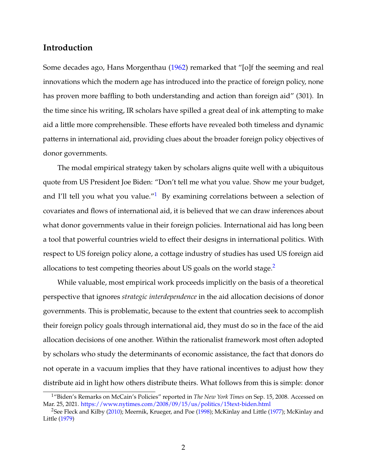# **Introduction**

Some decades ago, Hans Morgenthau [\(1962\)](#page-48-0) remarked that "[o]f the seeming and real innovations which the modern age has introduced into the practice of foreign policy, none has proven more baffling to both understanding and action than foreign aid" (301). In the time since his writing, IR scholars have spilled a great deal of ink attempting to make aid a little more comprehensible. These efforts have revealed both timeless and dynamic patterns in international aid, providing clues about the broader foreign policy objectives of donor governments.

The modal empirical strategy taken by scholars aligns quite well with a ubiquitous quote from US President Joe Biden: "Don't tell me what you value. Show me your budget, and I'll tell you what you value." $1$  By examining correlations between a selection of covariates and flows of international aid, it is believed that we can draw inferences about what donor governments value in their foreign policies. International aid has long been a tool that powerful countries wield to effect their designs in international politics. With respect to US foreign policy alone, a cottage industry of studies has used US foreign aid allocations to test competing theories about US goals on the world stage.<sup>[2](#page-0-0)</sup>

While valuable, most empirical work proceeds implicitly on the basis of a theoretical perspective that ignores *strategic interdependence* in the aid allocation decisions of donor governments. This is problematic, because to the extent that countries seek to accomplish their foreign policy goals through international aid, they must do so in the face of the aid allocation decisions of one another. Within the rationalist framework most often adopted by scholars who study the determinants of economic assistance, the fact that donors do not operate in a vacuum implies that they have rational incentives to adjust how they distribute aid in light how others distribute theirs. What follows from this is simple: donor

<sup>1</sup>"Biden's Remarks on McCain's Policies" reported in *The New York Times* on Sep. 15, 2008. Accessed on Mar. 25, 2021. <https://www.nytimes.com/2008/09/15/us/politics/15text-biden.html>

<sup>2</sup>See Fleck and Kilby [\(2010\)](#page-47-0); Meernik, Krueger, and Poe [\(1998\)](#page-48-1); McKinlay and Little [\(1977\)](#page-48-2); McKinlay and Little [\(1979\)](#page-48-3)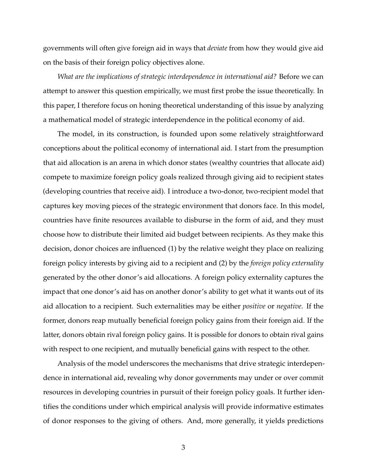governments will often give foreign aid in ways that *deviate* from how they would give aid on the basis of their foreign policy objectives alone.

*What are the implications of strategic interdependence in international aid?* Before we can attempt to answer this question empirically, we must first probe the issue theoretically. In this paper, I therefore focus on honing theoretical understanding of this issue by analyzing a mathematical model of strategic interdependence in the political economy of aid.

The model, in its construction, is founded upon some relatively straightforward conceptions about the political economy of international aid. I start from the presumption that aid allocation is an arena in which donor states (wealthy countries that allocate aid) compete to maximize foreign policy goals realized through giving aid to recipient states (developing countries that receive aid). I introduce a two-donor, two-recipient model that captures key moving pieces of the strategic environment that donors face. In this model, countries have finite resources available to disburse in the form of aid, and they must choose how to distribute their limited aid budget between recipients. As they make this decision, donor choices are influenced (1) by the relative weight they place on realizing foreign policy interests by giving aid to a recipient and (2) by the *foreign policy externality* generated by the other donor's aid allocations. A foreign policy externality captures the impact that one donor's aid has on another donor's ability to get what it wants out of its aid allocation to a recipient. Such externalities may be either *positive* or *negative*. If the former, donors reap mutually beneficial foreign policy gains from their foreign aid. If the latter, donors obtain rival foreign policy gains. It is possible for donors to obtain rival gains with respect to one recipient, and mutually beneficial gains with respect to the other.

Analysis of the model underscores the mechanisms that drive strategic interdependence in international aid, revealing why donor governments may under or over commit resources in developing countries in pursuit of their foreign policy goals. It further identifies the conditions under which empirical analysis will provide informative estimates of donor responses to the giving of others. And, more generally, it yields predictions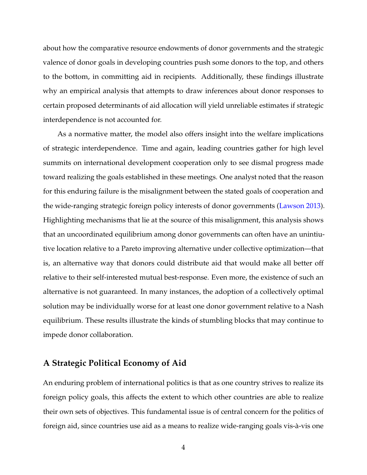about how the comparative resource endowments of donor governments and the strategic valence of donor goals in developing countries push some donors to the top, and others to the bottom, in committing aid in recipients. Additionally, these findings illustrate why an empirical analysis that attempts to draw inferences about donor responses to certain proposed determinants of aid allocation will yield unreliable estimates if strategic interdependence is not accounted for.

As a normative matter, the model also offers insight into the welfare implications of strategic interdependence. Time and again, leading countries gather for high level summits on international development cooperation only to see dismal progress made toward realizing the goals established in these meetings. One analyst noted that the reason for this enduring failure is the misalignment between the stated goals of cooperation and the wide-ranging strategic foreign policy interests of donor governments [\(Lawson 2013\)](#page-48-4). Highlighting mechanisms that lie at the source of this misalignment, this analysis shows that an uncoordinated equilibrium among donor governments can often have an unintiutive location relative to a Pareto improving alternative under collective optimization—that is, an alternative way that donors could distribute aid that would make all better off relative to their self-interested mutual best-response. Even more, the existence of such an alternative is not guaranteed. In many instances, the adoption of a collectively optimal solution may be individually worse for at least one donor government relative to a Nash equilibrium. These results illustrate the kinds of stumbling blocks that may continue to impede donor collaboration.

## **A Strategic Political Economy of Aid**

An enduring problem of international politics is that as one country strives to realize its foreign policy goals, this affects the extent to which other countries are able to realize their own sets of objectives. This fundamental issue is of central concern for the politics of foreign aid, since countries use aid as a means to realize wide-ranging goals vis-a`-vis one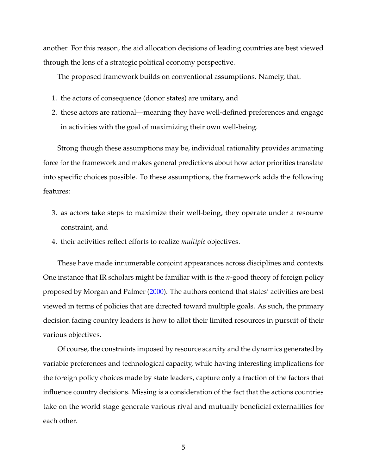another. For this reason, the aid allocation decisions of leading countries are best viewed through the lens of a strategic political economy perspective.

The proposed framework builds on conventional assumptions. Namely, that:

- 1. the actors of consequence (donor states) are unitary, and
- 2. these actors are rational—meaning they have well-defined preferences and engage in activities with the goal of maximizing their own well-being.

Strong though these assumptions may be, individual rationality provides animating force for the framework and makes general predictions about how actor priorities translate into specific choices possible. To these assumptions, the framework adds the following features:

- 3. as actors take steps to maximize their well-being, they operate under a resource constraint, and
- 4. their activities reflect efforts to realize *multiple* objectives.

These have made innumerable conjoint appearances across disciplines and contexts. One instance that IR scholars might be familiar with is the *n*-good theory of foreign policy proposed by Morgan and Palmer [\(2000\)](#page-48-5). The authors contend that states' activities are best viewed in terms of policies that are directed toward multiple goals. As such, the primary decision facing country leaders is how to allot their limited resources in pursuit of their various objectives.

Of course, the constraints imposed by resource scarcity and the dynamics generated by variable preferences and technological capacity, while having interesting implications for the foreign policy choices made by state leaders, capture only a fraction of the factors that influence country decisions. Missing is a consideration of the fact that the actions countries take on the world stage generate various rival and mutually beneficial externalities for each other.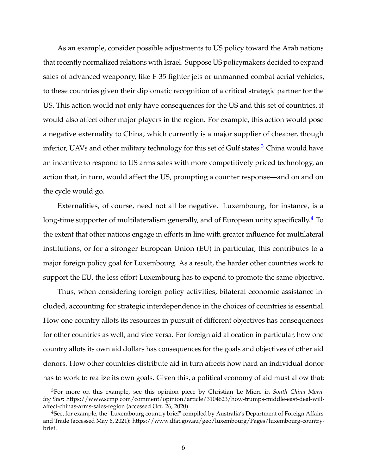As an example, consider possible adjustments to US policy toward the Arab nations that recently normalized relations with Israel. Suppose US policymakers decided to expand sales of advanced weaponry, like F-35 fighter jets or unmanned combat aerial vehicles, to these countries given their diplomatic recognition of a critical strategic partner for the US. This action would not only have consequences for the US and this set of countries, it would also affect other major players in the region. For example, this action would pose a negative externality to China, which currently is a major supplier of cheaper, though inferior, UAVs and other military technology for this set of Gulf states.<sup>[3](#page-0-0)</sup> China would have an incentive to respond to US arms sales with more competitively priced technology, an action that, in turn, would affect the US, prompting a counter response—and on and on the cycle would go.

Externalities, of course, need not all be negative. Luxembourg, for instance, is a long-time supporter of multilateralism generally, and of European unity specifically.<sup>[4](#page-0-0)</sup> To the extent that other nations engage in efforts in line with greater influence for multilateral institutions, or for a stronger European Union (EU) in particular, this contributes to a major foreign policy goal for Luxembourg. As a result, the harder other countries work to support the EU, the less effort Luxembourg has to expend to promote the same objective.

Thus, when considering foreign policy activities, bilateral economic assistance included, accounting for strategic interdependence in the choices of countries is essential. How one country allots its resources in pursuit of different objectives has consequences for other countries as well, and vice versa. For foreign aid allocation in particular, how one country allots its own aid dollars has consequences for the goals and objectives of other aid donors. How other countries distribute aid in turn affects how hard an individual donor has to work to realize its own goals. Given this, a political economy of aid must allow that:

<sup>3</sup>For more on this example, see this opinion piece by Christian Le Miere in *South China Morning Star*: https://www.scmp.com/comment/opinion/article/3104623/how-trumps-middle-east-deal-willaffect-chinas-arms-sales-region (accessed Oct. 26, 2020)

<sup>4</sup>See, for example, the "Luxembourg country brief" compiled by Australia's Department of Foreign Affairs and Trade (accessed May 6, 2021): https://www.dfat.gov.au/geo/luxembourg/Pages/luxembourg-countrybrief.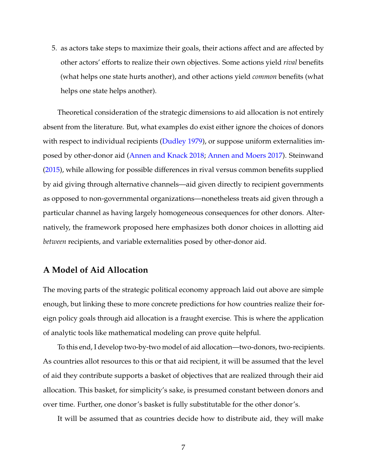5. as actors take steps to maximize their goals, their actions affect and are affected by other actors' efforts to realize their own objectives. Some actions yield *rival* benefits (what helps one state hurts another), and other actions yield *common* benefits (what helps one state helps another).

Theoretical consideration of the strategic dimensions to aid allocation is not entirely absent from the literature. But, what examples do exist either ignore the choices of donors with respect to individual recipients [\(Dudley 1979\)](#page-47-1), or suppose uniform externalities imposed by other-donor aid [\(Annen and Knack 2018;](#page-47-2) [Annen and Moers 2017\)](#page-47-3). Steinwand [\(2015\)](#page-48-6), while allowing for possible differences in rival versus common benefits supplied by aid giving through alternative channels—aid given directly to recipient governments as opposed to non-governmental organizations—nonetheless treats aid given through a particular channel as having largely homogeneous consequences for other donors. Alternatively, the framework proposed here emphasizes both donor choices in allotting aid *between* recipients, and variable externalities posed by other-donor aid.

## **A Model of Aid Allocation**

The moving parts of the strategic political economy approach laid out above are simple enough, but linking these to more concrete predictions for how countries realize their foreign policy goals through aid allocation is a fraught exercise. This is where the application of analytic tools like mathematical modeling can prove quite helpful.

To this end, I develop two-by-two model of aid allocation—two-donors, two-recipients. As countries allot resources to this or that aid recipient, it will be assumed that the level of aid they contribute supports a basket of objectives that are realized through their aid allocation. This basket, for simplicity's sake, is presumed constant between donors and over time. Further, one donor's basket is fully substitutable for the other donor's.

It will be assumed that as countries decide how to distribute aid, they will make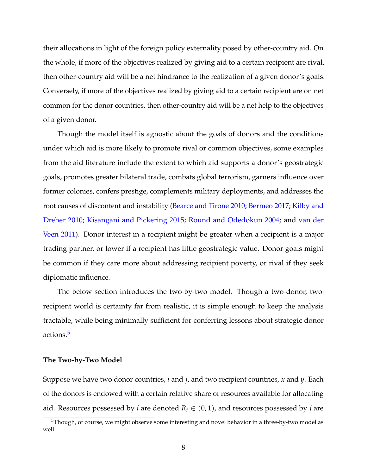their allocations in light of the foreign policy externality posed by other-country aid. On the whole, if more of the objectives realized by giving aid to a certain recipient are rival, then other-country aid will be a net hindrance to the realization of a given donor's goals. Conversely, if more of the objectives realized by giving aid to a certain recipient are on net common for the donor countries, then other-country aid will be a net help to the objectives of a given donor.

Though the model itself is agnostic about the goals of donors and the conditions under which aid is more likely to promote rival or common objectives, some examples from the aid literature include the extent to which aid supports a donor's geostrategic goals, promotes greater bilateral trade, combats global terrorism, garners influence over former colonies, confers prestige, complements military deployments, and addresses the root causes of discontent and instability [\(Bearce and Tirone 2010;](#page-47-4) [Bermeo 2017;](#page-47-5) [Kilby and](#page-48-7) [Dreher 2010;](#page-48-7) [Kisangani and Pickering 2015;](#page-48-8) [Round and Odedokun 2004;](#page-48-9) and [van der](#page-48-10) [Veen 2011\)](#page-48-10). Donor interest in a recipient might be greater when a recipient is a major trading partner, or lower if a recipient has little geostrategic value. Donor goals might be common if they care more about addressing recipient poverty, or rival if they seek diplomatic influence.

The below section introduces the two-by-two model. Though a two-donor, tworecipient world is certainty far from realistic, it is simple enough to keep the analysis tractable, while being minimally sufficient for conferring lessons about strategic donor actions.<sup>[5](#page-0-0)</sup>

#### **The Two-by-Two Model**

Suppose we have two donor countries, *i* and *j*, and two recipient countries, *x* and *y*. Each of the donors is endowed with a certain relative share of resources available for allocating aid. Resources possessed by *i* are denoted  $R_i \in (0,1)$ , and resources possessed by *j* are

<sup>&</sup>lt;sup>5</sup>Though, of course, we might observe some interesting and novel behavior in a three-by-two model as well.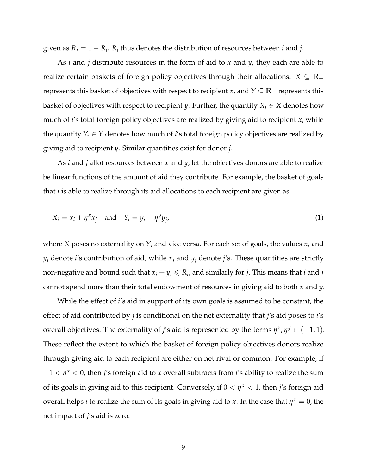given as  $R_j = 1 - R_i$ .  $R_i$  thus denotes the distribution of resources between *i* and *j*.

As *i* and *j* distribute resources in the form of aid to *x* and *y*, they each are able to realize certain baskets of foreign policy objectives through their allocations.  $X \subseteq \mathbb{R}_+$ represents this basket of objectives with respect to recipient *x*, and  $Y \subseteq \mathbb{R}_+$  represents this basket of objectives with respect to recipient *y*. Further, the quantity  $X_i \in X$  denotes how much of *i*'s total foreign policy objectives are realized by giving aid to recipient *x*, while the quantity  $Y_i \in Y$  denotes how much of *i*'s total foreign policy objectives are realized by giving aid to recipient *y*. Similar quantities exist for donor *j*.

As *i* and *j* allot resources between *x* and *y*, let the objectives donors are able to realize be linear functions of the amount of aid they contribute. For example, the basket of goals that *i* is able to realize through its aid allocations to each recipient are given as

$$
X_i = x_i + \eta^x x_j \quad \text{and} \quad Y_i = y_i + \eta^y y_j,\tag{1}
$$

where *X* poses no externality on *Y*, and vice versa. For each set of goals, the values *x<sup>i</sup>* and  $y_i$  denote *i*'s contribution of aid, while  $x_j$  and  $y_j$  denote *j*'s. These quantities are strictly non-negative and bound such that  $x_i + y_i \leqslant R_i$ , and similarly for *j*. This means that  $i$  and  $j$ cannot spend more than their total endowment of resources in giving aid to both *x* and *y*.

While the effect of *i*'s aid in support of its own goals is assumed to be constant, the effect of aid contributed by *j* is conditional on the net externality that *j*'s aid poses to *i*'s overall objectives. The externality of *j'*s aid is represented by the terms  $\eta^x$ ,  $\eta^y \in (-1,1)$ . These reflect the extent to which the basket of foreign policy objectives donors realize through giving aid to each recipient are either on net rival or common. For example, if −1 < *η <sup>x</sup>* < 0, then *j*'s foreign aid to *x* overall subtracts from *i*'s ability to realize the sum of its goals in giving aid to this recipient. Conversely, if 0 < *η <sup>x</sup>* < 1, then *j*'s foreign aid overall helps *i* to realize the sum of its goals in giving aid to *x*. In the case that  $\eta^x = 0$ , the net impact of *j*'s aid is zero.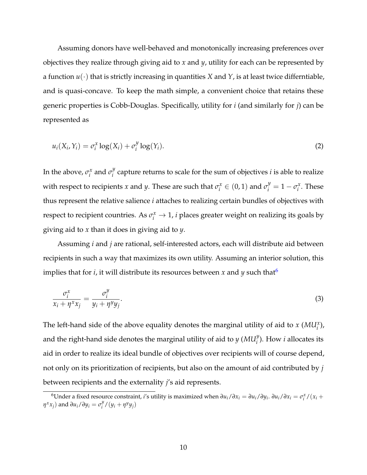Assuming donors have well-behaved and monotonically increasing preferences over objectives they realize through giving aid to *x* and *y*, utility for each can be represented by a function  $u(\cdot)$  that is strictly increasing in quantities *X* and *Y*, is at least twice differntiable, and is quasi-concave. To keep the math simple, a convenient choice that retains these generic properties is Cobb-Douglas. Specifically, utility for *i* (and similarly for *j*) can be represented as

$$
u_i(X_i, Y_i) = \sigma_i^x \log(X_i) + \sigma_i^y \log(Y_i).
$$
\n(2)

In the above,  $\sigma_i^x$  $\sigma_i^x$  and  $\sigma_i^y$  $i<sub>i</sub><sup>y</sup>$  capture returns to scale for the sum of objectives *i* is able to realize with respect to recipients *x* and *y*. These are such that  $\sigma_i^x \in (0,1)$  and  $\sigma_i^y = 1 - \sigma_i^x$  $i^x$ . These thus represent the relative salience *i* attaches to realizing certain bundles of objectives with respect to recipient countries. As  $\sigma_i^x \to 1$ , *i* places greater weight on realizing its goals by giving aid to *x* than it does in giving aid to *y*.

Assuming *i* and *j* are rational, self-interested actors, each will distribute aid between recipients in such a way that maximizes its own utility. Assuming an interior solution, this implies that for *i*, it will distribute its resources between *x* and *y* such that<sup>[6](#page-0-0)</sup>

$$
\frac{\sigma_i^x}{x_i + \eta^x x_j} = \frac{\sigma_i^y}{y_i + \eta^y y_j}.
$$
\n(3)

The left-hand side of the above equality denotes the marginal utility of aid to  $x$  ( $MU_i^x$ ), and the right-hand side denotes the marginal utility of aid to  $y$   $(MU_i^y)$ . How *i* allocates its aid in order to realize its ideal bundle of objectives over recipients will of course depend, not only on its prioritization of recipients, but also on the amount of aid contributed by *j* between recipients and the externality *j*'s aid represents.

<sup>&</sup>lt;sup>6</sup>Under a fixed resource constraint, *i's* utility is maximized when  $\partial u_i/\partial x_i = \partial u_i/\partial y_i$ .  $\partial u_i/\partial x_i = \sigma_i^x/(x_i +$ *n*<sup>*x*</sup>*x*<sub>*j*</sub>) and *∂u*<sub>*i*</sub>/*∂y*<sub>*i*</sub> = *σ*<sup>*y*</sup><sub>*i*</sub>  $\int_i^y / (y_i + \eta^y y_j)$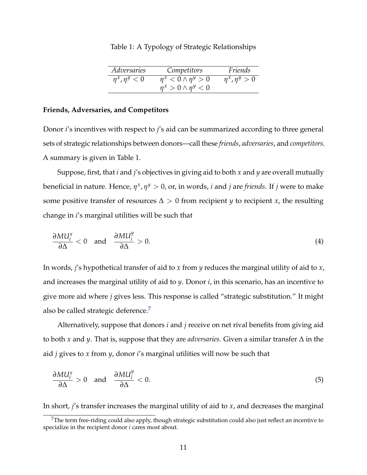| Adversaries          | Competitors                    | Friends              |
|----------------------|--------------------------------|----------------------|
| $\eta^x, \eta^y < 0$ | $\eta^x < 0 \wedge \eta^y > 0$ | $\eta^x, \eta^y > 0$ |
|                      | $\eta^x > 0 \wedge \eta^y < 0$ |                      |

Table 1: A Typology of Strategic Relationships

#### **Friends, Adversaries, and Competitors**

Donor *i*'s incentives with respect to *j*'s aid can be summarized according to three general sets of strategic relationships between donors—call these *friends*, *adversaries*, and *competitors*. A summary is given in Table 1.

Suppose, first, that *i* and *j*'s objectives in giving aid to both *x* and *y* are overall mutually  $b$ eneficial in nature. Hence,  $η<sup>x</sup>$ ,  $η<sup>y</sup> > 0$ , or, in words, *i* and *j* are *friends*. If *j* were to make some positive transfer of resources  $\Delta > 0$  from recipient *y* to recipient *x*, the resulting change in *i*'s marginal utilities will be such that

$$
\frac{\partial M U_i^x}{\partial \Delta} < 0 \quad \text{and} \quad \frac{\partial M U_i^y}{\partial \Delta} > 0. \tag{4}
$$

In words, *j*'s hypothetical transfer of aid to *x* from *y* reduces the marginal utility of aid to *x*, and increases the marginal utility of aid to *y*. Donor *i*, in this scenario, has an incentive to give more aid where *j* gives less. This response is called "strategic substitution." It might also be called strategic deference.<sup>[7](#page-0-0)</sup>

Alternatively, suppose that donors *i* and *j* receive on net rival benefits from giving aid to both *x* and *y*. That is, suppose that they are *adversaries*. Given a similar transfer ∆ in the aid *j* gives to *x* from *y*, donor *i*'s marginal utilities will now be such that

$$
\frac{\partial M U_i^x}{\partial \Delta} > 0 \quad \text{and} \quad \frac{\partial M U_i^y}{\partial \Delta} < 0. \tag{5}
$$

In short, *j*'s transfer increases the marginal utility of aid to *x*, and decreases the marginal

<sup>&</sup>lt;sup>7</sup>The term free-riding could also apply, though strategic substitution could also just reflect an incentive to specialize in the recipient donor *i* cares most about.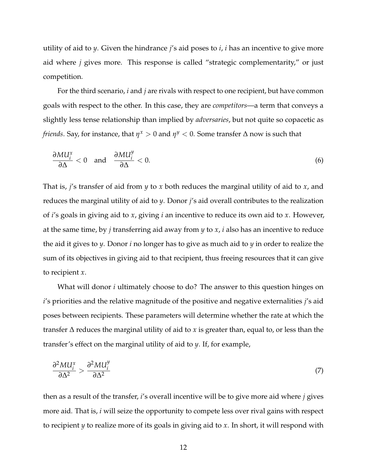utility of aid to *y*. Given the hindrance *j*'s aid poses to *i*, *i* has an incentive to give more aid where *j* gives more. This response is called "strategic complementarity," or just competition.

For the third scenario, *i* and *j* are rivals with respect to one recipient, but have common goals with respect to the other. In this case, they are *competitors*—a term that conveys a slightly less tense relationship than implied by *adversaries*, but not quite so copacetic as *friends*. Say, for instance, that  $\eta^x > 0$  and  $\eta^y < 0$ . Some transfer  $\Delta$  now is such that

$$
\frac{\partial M U_i^x}{\partial \Delta} < 0 \quad \text{and} \quad \frac{\partial M U_i^y}{\partial \Delta} < 0. \tag{6}
$$

That is, *j*'s transfer of aid from *y* to *x* both reduces the marginal utility of aid to *x*, and reduces the marginal utility of aid to *y*. Donor *j*'s aid overall contributes to the realization of *i*'s goals in giving aid to *x*, giving *i* an incentive to reduce its own aid to *x*. However, at the same time, by *j* transferring aid away from *y* to *x*, *i* also has an incentive to reduce the aid it gives to *y*. Donor *i* no longer has to give as much aid to *y* in order to realize the sum of its objectives in giving aid to that recipient, thus freeing resources that it can give to recipient *x*.

What will donor *i* ultimately choose to do? The answer to this question hinges on *i*'s priorities and the relative magnitude of the positive and negative externalities *j*'s aid poses between recipients. These parameters will determine whether the rate at which the transfer ∆ reduces the marginal utility of aid to *x* is greater than, equal to, or less than the transfer's effect on the marginal utility of aid to *y*. If, for example,

$$
\frac{\partial^2 M U_i^x}{\partial \Delta^2} > \frac{\partial^2 M U_i^y}{\partial \Delta^2} \tag{7}
$$

then as a result of the transfer, *i*'s overall incentive will be to give more aid where *j* gives more aid. That is, *i* will seize the opportunity to compete less over rival gains with respect to recipient *y* to realize more of its goals in giving aid to *x*. In short, it will respond with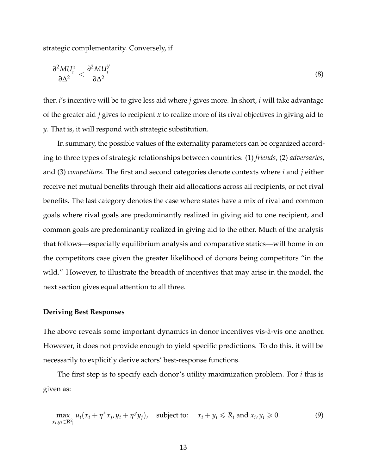strategic complementarity. Conversely, if

$$
\frac{\partial^2 M U_i^x}{\partial \Delta^2} < \frac{\partial^2 M U_i^y}{\partial \Delta^2} \tag{8}
$$

then *i*'s incentive will be to give less aid where *j* gives more. In short, *i* will take advantage of the greater aid *j* gives to recipient *x* to realize more of its rival objectives in giving aid to *y*. That is, it will respond with strategic substitution.

In summary, the possible values of the externality parameters can be organized according to three types of strategic relationships between countries: (1) *friends*, (2) *adversaries*, and (3) *competitors*. The first and second categories denote contexts where *i* and *j* either receive net mutual benefits through their aid allocations across all recipients, or net rival benefits. The last category denotes the case where states have a mix of rival and common goals where rival goals are predominantly realized in giving aid to one recipient, and common goals are predominantly realized in giving aid to the other. Much of the analysis that follows—especially equilibrium analysis and comparative statics—will home in on the competitors case given the greater likelihood of donors being competitors "in the wild." However, to illustrate the breadth of incentives that may arise in the model, the next section gives equal attention to all three.

#### **Deriving Best Responses**

The above reveals some important dynamics in donor incentives vis-à-vis one another. However, it does not provide enough to yield specific predictions. To do this, it will be necessarily to explicitly derive actors' best-response functions.

The first step is to specify each donor's utility maximization problem. For *i* this is given as:

$$
\max_{x_i, y_i \in \mathbb{R}_+^2} u_i(x_i + \eta^x x_j, y_i + \eta^y y_j), \quad \text{subject to:} \quad x_i + y_i \le R_i \text{ and } x_i, y_i \ge 0. \tag{9}
$$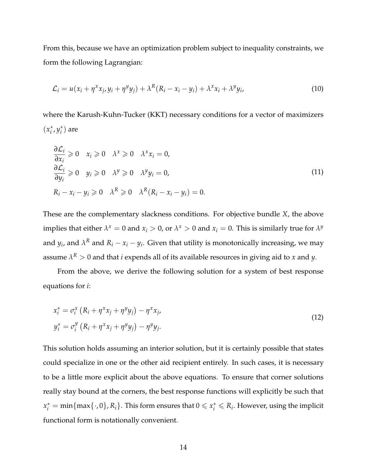From this, because we have an optimization problem subject to inequality constraints, we form the following Lagrangian:

$$
\mathcal{L}_i = u(x_i + \eta^x x_j, y_i + \eta^y y_j) + \lambda^R (R_i - x_i - y_i) + \lambda^x x_i + \lambda^y y_i,
$$
\n(10)

where the Karush-Kuhn-Tucker (KKT) necessary conditions for a vector of maximizers  $(x_i^*$ *i* , *y* ∗  $i^*$ ) are

$$
\frac{\partial \mathcal{L}_i}{\partial x_i} \geq 0 \quad x_i \geq 0 \quad \lambda^x \geq 0 \quad \lambda^x x_i = 0,
$$
  
\n
$$
\frac{\partial \mathcal{L}_i}{\partial y_i} \geq 0 \quad y_i \geq 0 \quad \lambda^y \geq 0 \quad \lambda^y y_i = 0,
$$
  
\n
$$
R_i - x_i - y_i \geq 0 \quad \lambda^R \geq 0 \quad \lambda^R (R_i - x_i - y_i) = 0.
$$
\n(11)

These are the complementary slackness conditions. For objective bundle *X*, the above implies that either  $\lambda^x = 0$  and  $x_i > 0$ , or  $\lambda^x > 0$  and  $x_i = 0$ . This is similarly true for  $\lambda^y$ and  $y_i$ , and  $\lambda^R$  and  $R_i - x_i - y_i$ . Given that utility is monotonically increasing, we may assume  $\lambda^R>0$  and that  $i$  expends all of its available resources in giving aid to  $x$  and  $y$ .

From the above, we derive the following solution for a system of best response equations for *i*:

$$
x_i^* = \sigma_i^x \left( R_i + \eta^x x_j + \eta^y y_j \right) - \eta^x x_j,
$$
  
\n
$$
y_i^* = \sigma_i^y \left( R_i + \eta^x x_j + \eta^y y_j \right) - \eta^y y_j.
$$
\n(12)

This solution holds assuming an interior solution, but it is certainly possible that states could specialize in one or the other aid recipient entirely. In such cases, it is necessary to be a little more explicit about the above equations. To ensure that corner solutions really stay bound at the corners, the best response functions will explicitly be such that  $x_i^* = \min\{\max\{\cdot, 0\}, R_i\}$ . This form ensures that  $0 \leq x_i^* \leq R_i$ . However, using the implicit functional form is notationally convenient.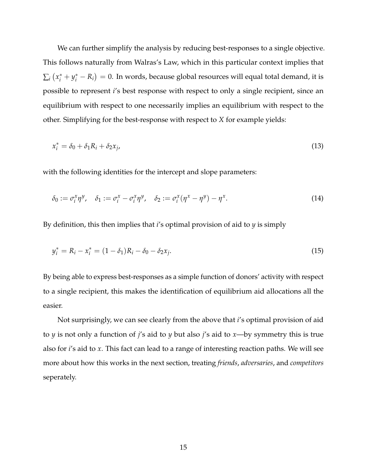We can further simplify the analysis by reducing best-responses to a single objective. This follows naturally from Walras's Law, which in this particular context implies that  $\sum_i \left( x^*_i + y^*_i - R_i \right) = 0.$  In words, because global resources will equal total demand, it is possible to represent *i*'s best response with respect to only a single recipient, since an equilibrium with respect to one necessarily implies an equilibrium with respect to the other. Simplifying for the best-response with respect to *X* for example yields:

$$
x_i^* = \delta_0 + \delta_1 R_i + \delta_2 x_j,\tag{13}
$$

with the following identities for the intercept and slope parameters:

$$
\delta_0 := \sigma_i^x \eta^y, \quad \delta_1 := \sigma_i^x - \sigma_i^x \eta^y, \quad \delta_2 := \sigma_i^x (\eta^x - \eta^y) - \eta^x. \tag{14}
$$

By definition, this then implies that *i*'s optimal provision of aid to *y* is simply

$$
y_i^* = R_i - x_i^* = (1 - \delta_1)R_i - \delta_0 - \delta_2 x_j.
$$
\n(15)

By being able to express best-responses as a simple function of donors' activity with respect to a single recipient, this makes the identification of equilibrium aid allocations all the easier.

Not surprisingly, we can see clearly from the above that *i*'s optimal provision of aid to *y* is not only a function of *j*'s aid to *y* but also *j*'s aid to *x*—by symmetry this is true also for *i*'s aid to *x*. This fact can lead to a range of interesting reaction paths. We will see more about how this works in the next section, treating *friends*, *adversaries*, and *competitors* seperately.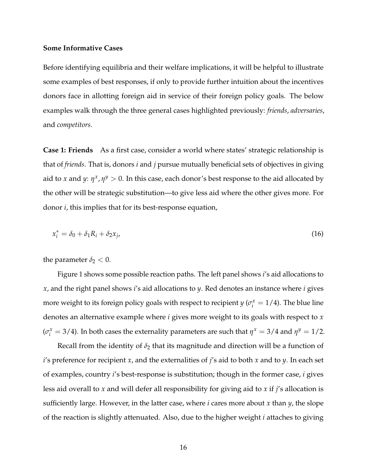#### **Some Informative Cases**

Before identifying equilibria and their welfare implications, it will be helpful to illustrate some examples of best responses, if only to provide further intuition about the incentives donors face in allotting foreign aid in service of their foreign policy goals. The below examples walk through the three general cases highlighted previously: *friends*, *adversaries*, and *competitors*.

**Case 1: Friends** As a first case, consider a world where states' strategic relationship is that of *friends*. That is, donors *i* and *j* pursue mutually beneficial sets of objectives in giving aid to *x* and *y*:  $\eta^x$ ,  $\eta^y > 0$ . In this case, each donor's best response to the aid allocated by the other will be strategic substitution—to give less aid where the other gives more. For donor *i*, this implies that for its best-response equation,

$$
x_i^* = \delta_0 + \delta_1 R_i + \delta_2 x_j,\tag{16}
$$

the parameter  $\delta_2 < 0$ .

Figure 1 shows some possible reaction paths. The left panel shows *i*'s aid allocations to *x*, and the right panel shows *i*'s aid allocations to *y*. Red denotes an instance where *i* gives more weight to its foreign policy goals with respect to recipient *y* ( $\sigma_i^x = 1/4$ ). The blue line denotes an alternative example where *i* gives more weight to its goals with respect to *x*  $(\sigma_i^x = 3/4)$ . In both cases the externality parameters are such that  $\eta^x = 3/4$  and  $\eta^y = 1/2$ .

Recall from the identity of  $\delta_2$  that its magnitude and direction will be a function of *i*'s preference for recipient *x*, and the externalities of *j*'s aid to both *x* and to *y*. In each set of examples, country *i*'s best-response is substitution; though in the former case, *i* gives less aid overall to *x* and will defer all responsibility for giving aid to *x* if *j*'s allocation is sufficiently large. However, in the latter case, where *i* cares more about *x* than *y*, the slope of the reaction is slightly attenuated. Also, due to the higher weight *i* attaches to giving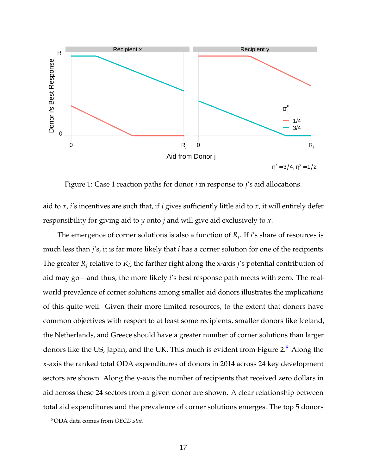

Figure 1: Case 1 reaction paths for donor *i* in response to *j*'s aid allocations.

aid to *x*, *i*'s incentives are such that, if *j* gives sufficiently little aid to *x*, it will entirely defer responsibility for giving aid to *y* onto *j* and will give aid exclusively to *x*.

The emergence of corner solutions is also a function of *R<sup>i</sup>* . If *i*'s share of resources is much less than *j*'s, it is far more likely that *i* has a corner solution for one of the recipients. The greater  $R_j$  relative to  $R_i$ , the farther right along the x-axis *j'*s potential contribution of aid may go—and thus, the more likely *i*'s best response path meets with zero. The realworld prevalence of corner solutions among smaller aid donors illustrates the implications of this quite well. Given their more limited resources, to the extent that donors have common objectives with respect to at least some recipients, smaller donors like Iceland, the Netherlands, and Greece should have a greater number of corner solutions than larger donors like the US, Japan, and the UK. This much is evident from Figure  $2.8$  $2.8$  Along the x-axis the ranked total ODA expenditures of donors in 2014 across 24 key development sectors are shown. Along the y-axis the number of recipients that received zero dollars in aid across these 24 sectors from a given donor are shown. A clear relationship between total aid expenditures and the prevalence of corner solutions emerges. The top 5 donors

<sup>8</sup>ODA data comes from *OECD.stat*.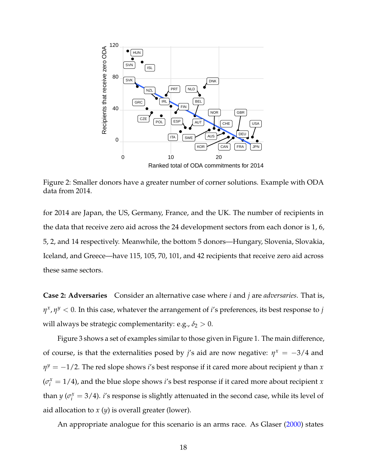

Figure 2: Smaller donors have a greater number of corner solutions. Example with ODA data from 2014.

for 2014 are Japan, the US, Germany, France, and the UK. The number of recipients in the data that receive zero aid across the 24 development sectors from each donor is 1, 6, 5, 2, and 14 respectively. Meanwhile, the bottom 5 donors—Hungary, Slovenia, Slovakia, Iceland, and Greece—have 115, 105, 70, 101, and 42 recipients that receive zero aid across these same sectors.

**Case 2: Adversaries** Consider an alternative case where *i* and *j* are *adversaries*. That is, *η x* , *η <sup>y</sup>* < 0. In this case, whatever the arrangement of *i*'s preferences, its best response to *j* will always be strategic complementarity: e.g.,  $\delta_2 > 0$ .

Figure 3 shows a set of examples similar to those given in Figure 1. The main difference, of course, is that the externalities posed by *j's* aid are now negative:  $\eta^x = -3/4$  and *η <sup>y</sup>* = −1/2. The red slope shows *i*'s best response if it cared more about recipient *y* than *x*  $(\sigma_i^x = 1/4)$ , and the blue slope shows *i*'s best response if it cared more about recipient *x* than *y* ( $\sigma_i^x = 3/4$ ). *i*'s response is slightly attenuated in the second case, while its level of aid allocation to *x* (*y*) is overall greater (lower).

An appropriate analogue for this scenario is an arms race. As Glaser [\(2000\)](#page-48-11) states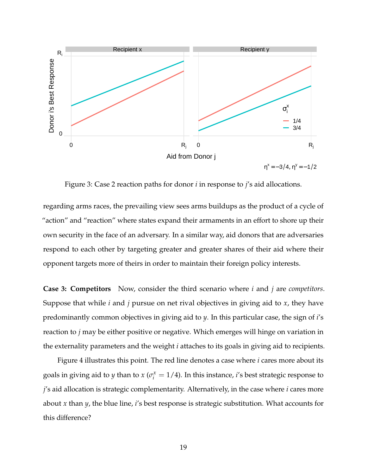

Figure 3: Case 2 reaction paths for donor *i* in response to *j*'s aid allocations.

regarding arms races, the prevailing view sees arms buildups as the product of a cycle of "action" and "reaction" where states expand their armaments in an effort to shore up their own security in the face of an adversary. In a similar way, aid donors that are adversaries respond to each other by targeting greater and greater shares of their aid where their opponent targets more of theirs in order to maintain their foreign policy interests.

**Case 3: Competitors** Now, consider the third scenario where *i* and *j* are *competitors*. Suppose that while *i* and *j* pursue on net rival objectives in giving aid to *x*, they have predominantly common objectives in giving aid to *y*. In this particular case, the sign of *i*'s reaction to *j* may be either positive or negative. Which emerges will hinge on variation in the externality parameters and the weight *i* attaches to its goals in giving aid to recipients.

Figure 4 illustrates this point. The red line denotes a case where *i* cares more about its goals in giving aid to *y* than to  $x$  ( $\sigma_i^x = 1/4$ ). In this instance, *i*'s best strategic response to *j*'s aid allocation is strategic complementarity. Alternatively, in the case where *i* cares more about *x* than *y*, the blue line, *i*'s best response is strategic substitution. What accounts for this difference?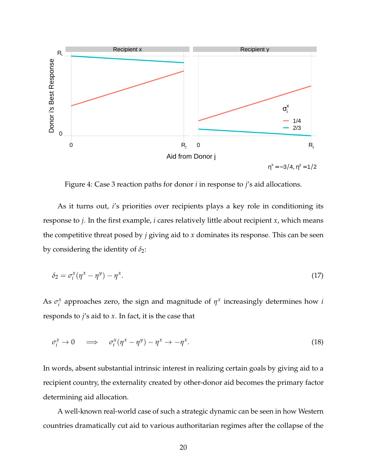

Figure 4: Case 3 reaction paths for donor *i* in response to *j*'s aid allocations.

As it turns out, *i*'s priorities over recipients plays a key role in conditioning its response to *j*. In the first example, *i* cares relatively little about recipient *x*, which means the competitive threat posed by *j* giving aid to *x* dominates its response. This can be seen by considering the identity of  $\delta_2$ :

$$
\delta_2 = \sigma_i^x (\eta^x - \eta^y) - \eta^x. \tag{17}
$$

As  $\sigma_i^x$  $\alpha_i^x$  approaches zero, the sign and magnitude of  $\eta^x$  increasingly determines how *i* responds to *j*'s aid to *x*. In fact, it is the case that

$$
\sigma_i^x \to 0 \quad \implies \quad \sigma_i^x (\eta^x - \eta^y) - \eta^x \to -\eta^x. \tag{18}
$$

In words, absent substantial intrinsic interest in realizing certain goals by giving aid to a recipient country, the externality created by other-donor aid becomes the primary factor determining aid allocation.

A well-known real-world case of such a strategic dynamic can be seen in how Western countries dramatically cut aid to various authoritarian regimes after the collapse of the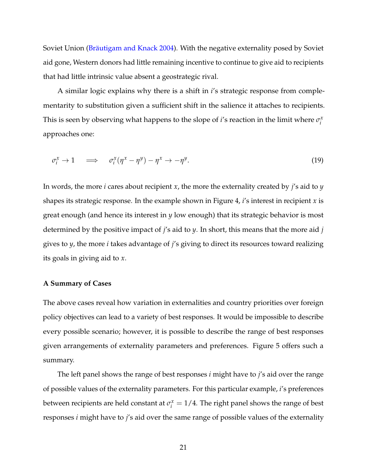Soviet Union [\(Bräutigam and Knack 2004\)](#page-47-6). With the negative externality posed by Soviet aid gone, Western donors had little remaining incentive to continue to give aid to recipients that had little intrinsic value absent a geostrategic rival.

A similar logic explains why there is a shift in *i*'s strategic response from complementarity to substitution given a sufficient shift in the salience it attaches to recipients. This is seen by observing what happens to the slope of *i*'s reaction in the limit where  $\sigma_i^x$ *i* approaches one:

$$
\sigma_i^x \to 1 \quad \implies \quad \sigma_i^x (\eta^x - \eta^y) - \eta^x \to -\eta^y. \tag{19}
$$

In words, the more *i* cares about recipient *x*, the more the externality created by *j*'s aid to *y* shapes its strategic response. In the example shown in Figure 4, *i*'s interest in recipient *x* is great enough (and hence its interest in *y* low enough) that its strategic behavior is most determined by the positive impact of *j*'s aid to *y*. In short, this means that the more aid *j* gives to *y*, the more *i* takes advantage of *j*'s giving to direct its resources toward realizing its goals in giving aid to *x*.

## **A Summary of Cases**

The above cases reveal how variation in externalities and country priorities over foreign policy objectives can lead to a variety of best responses. It would be impossible to describe every possible scenario; however, it is possible to describe the range of best responses given arrangements of externality parameters and preferences. Figure 5 offers such a summary.

The left panel shows the range of best responses *i* might have to *j*'s aid over the range of possible values of the externality parameters. For this particular example, *i*'s preferences between recipients are held constant at  $\sigma_i^x = 1/4$ . The right panel shows the range of best responses *i* might have to *j*'s aid over the same range of possible values of the externality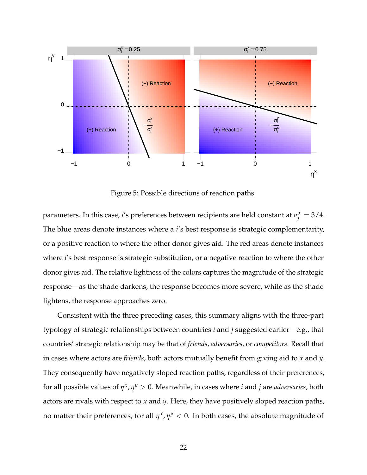

Figure 5: Possible directions of reaction paths.

parameters. In this case, *i'*s preferences between recipients are held constant at  $\sigma_j^x = 3/4$ . The blue areas denote instances where a *i*'s best response is strategic complementarity, or a positive reaction to where the other donor gives aid. The red areas denote instances where *i*'s best response is strategic substitution, or a negative reaction to where the other donor gives aid. The relative lightness of the colors captures the magnitude of the strategic response—as the shade darkens, the response becomes more severe, while as the shade lightens, the response approaches zero.

Consistent with the three preceding cases, this summary aligns with the three-part typology of strategic relationships between countries *i* and *j* suggested earlier—e.g., that countries' strategic relationship may be that of *friends*, *adversaries*, or *competitors*. Recall that in cases where actors are *friends*, both actors mutually benefit from giving aid to *x* and *y*. They consequently have negatively sloped reaction paths, regardless of their preferences, for all possible values of *η x* , *η <sup>y</sup>* > 0. Meanwhile, in cases where *i* and *j* are *adversaries*, both actors are rivals with respect to *x* and *y*. Here, they have positively sloped reaction paths, no matter their preferences, for all  $\eta^x$ ,  $\eta^y < 0$ . In both cases, the absolute magnitude of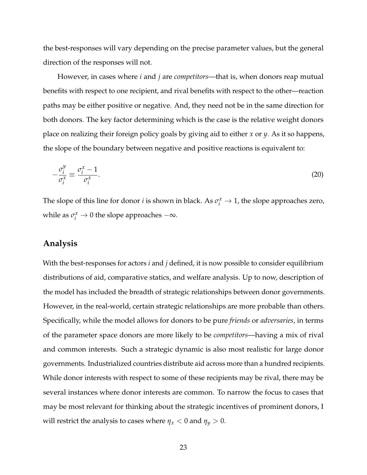the best-responses will vary depending on the precise parameter values, but the general direction of the responses will not.

However, in cases where *i* and *j* are *competitors*—that is, when donors reap mutual benefits with respect to one recipient, and rival benefits with respect to the other—reaction paths may be either positive or negative. And, they need not be in the same direction for both donors. The key factor determining which is the case is the relative weight donors place on realizing their foreign policy goals by giving aid to either *x* or *y*. As it so happens, the slope of the boundary between negative and positive reactions is equivalent to:

$$
-\frac{\sigma_i^y}{\sigma_i^x} \equiv \frac{\sigma_i^x - 1}{\sigma_i^x}.
$$
\n(20)

The slope of this line for donor *i* is shown in black. As  $\sigma_i^x \to 1$ , the slope approaches zero, while as  $\sigma_i^x \to 0$  the slope approaches  $-\infty$ .

# **Analysis**

With the best-responses for actors *i* and *j* defined, it is now possible to consider equilibrium distributions of aid, comparative statics, and welfare analysis. Up to now, description of the model has included the breadth of strategic relationships between donor governments. However, in the real-world, certain strategic relationships are more probable than others. Specifically, while the model allows for donors to be pure *friends* or *adversaries*, in terms of the parameter space donors are more likely to be *competitors*—having a mix of rival and common interests. Such a strategic dynamic is also most realistic for large donor governments. Industrialized countries distribute aid across more than a hundred recipients. While donor interests with respect to some of these recipients may be rival, there may be several instances where donor interests are common. To narrow the focus to cases that may be most relevant for thinking about the strategic incentives of prominent donors, I will restrict the analysis to cases where  $\eta_x < 0$  and  $\eta_y > 0$ .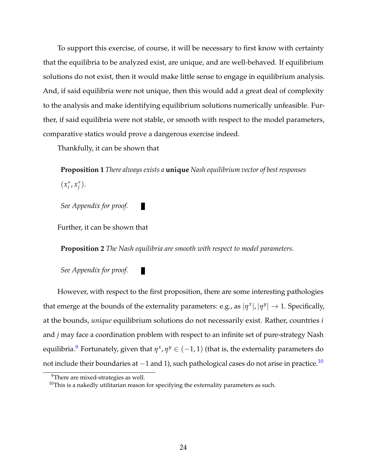To support this exercise, of course, it will be necessary to first know with certainty that the equilibria to be analyzed exist, are unique, and are well-behaved. If equilibrium solutions do not exist, then it would make little sense to engage in equilibrium analysis. And, if said equilibria were not unique, then this would add a great deal of complexity to the analysis and make identifying equilibrium solutions numerically unfeasible. Further, if said equilibria were not stable, or smooth with respect to the model parameters, comparative statics would prove a dangerous exercise indeed.

Thankfully, it can be shown that

**Proposition 1** *There always exists a* **unique** *Nash equilibrium vector of best responses*  $(x_i^*$ *i* , *x* ∗ *j* ).

*See Appendix for proof.*

Further, it can be shown that

**Proposition 2** *The Nash equilibria are smooth with respect to model parameters.*

П

П

*See Appendix for proof.*

However, with respect to the first proposition, there are some interesting pathologies that emerge at the bounds of the externality parameters: e.g., as  $|\eta^x|, |\eta^y| \to 1$ . Specifically, at the bounds, *unique* equilibrium solutions do not necessarily exist. Rather, countries *i* and *j* may face a coordination problem with respect to an infinite set of pure-strategy Nash equilibria. $^9$  $^9$  Fortunately, given that  $\eta^x$ ,  $\eta^y \in (-1,1)$  (that is, the externality parameters do not include their boundaries at −1 and 1), such pathological cases do not arise in practice.<sup>[10](#page-0-0)</sup>

 $9$ There are mixed-strategies as well.

 $10$ This is a nakedly utilitarian reason for specifying the externality parameters as such.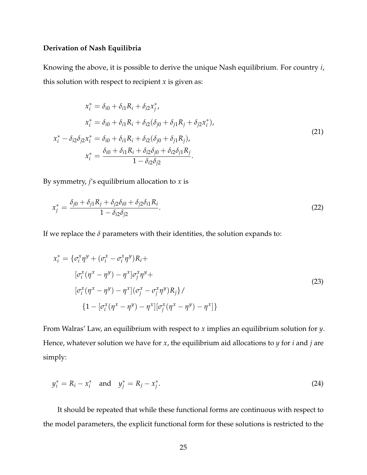## **Derivation of Nash Equilibria**

Knowing the above, it is possible to derive the unique Nash equilibrium. For country *i*, this solution with respect to recipient *x* is given as:

$$
x_i^* = \delta_{i0} + \delta_{i1} R_i + \delta_{i2} x_j^*,
$$
  
\n
$$
x_i^* = \delta_{i0} + \delta_{i1} R_i + \delta_{i2} (\delta_{j0} + \delta_{j1} R_j + \delta_{j2} x_i^*),
$$
  
\n
$$
x_i^* - \delta_{i2} \delta_{j2} x_i^* = \delta_{i0} + \delta_{i1} R_i + \delta_{i2} (\delta_{j0} + \delta_{j1} R_j),
$$
  
\n
$$
x_i^* = \frac{\delta_{i0} + \delta_{i1} R_i + \delta_{i2} \delta_{j0} + \delta_{i2} \delta_{j1} R_j}{1 - \delta_{i2} \delta_{j2}}.
$$
\n(21)

By symmetry, *j*'s equilibrium allocation to *x* is

$$
x_j^* = \frac{\delta_{j0} + \delta_{j1}R_j + \delta_{j2}\delta_{i0} + \delta_{j2}\delta_{i1}R_i}{1 - \delta_{i2}\delta_{j2}}.
$$
\n(22)

If we replace the  $\delta$  parameters with their identities, the solution expands to:

$$
x_i^* = \{\sigma_i^x \eta^y + (\sigma_i^x - \sigma_i^x \eta^y) R_i +
$$
  
\n
$$
[\sigma_i^x (\eta^x - \eta^y) - \eta^x] \sigma_j^x \eta^y +
$$
  
\n
$$
[\sigma_i^x (\eta^x - \eta^y) - \eta^x] (\sigma_j^x - \sigma_j^x \eta^y) R_j \}/
$$
  
\n
$$
\{1 - [\sigma_i^x (\eta^x - \eta^y) - \eta^x] [\sigma_j^x (\eta^x - \eta^y) - \eta^x] \}
$$
\n(23)

From Walras' Law, an equilibrium with respect to *x* implies an equilibrium solution for *y*. Hence, whatever solution we have for *x*, the equilibrium aid allocations to *y* for *i* and *j* are simply:

$$
y_i^* = R_i - x_i^* \text{ and } y_j^* = R_j - x_j^*.
$$
 (24)

It should be repeated that while these functional forms are continuous with respect to the model parameters, the explicit functional form for these solutions is restricted to the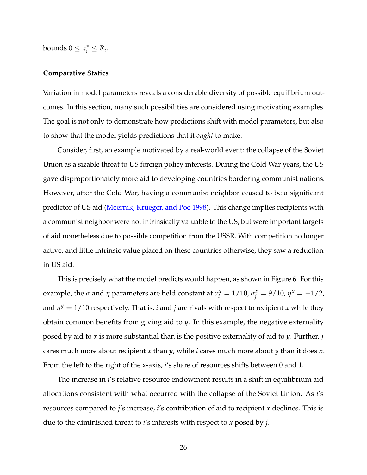bounds  $0 \leq x_i^* \leq R_i$ .

## **Comparative Statics**

Variation in model parameters reveals a considerable diversity of possible equilibrium outcomes. In this section, many such possibilities are considered using motivating examples. The goal is not only to demonstrate how predictions shift with model parameters, but also to show that the model yields predictions that it *ought* to make.

Consider, first, an example motivated by a real-world event: the collapse of the Soviet Union as a sizable threat to US foreign policy interests. During the Cold War years, the US gave disproportionately more aid to developing countries bordering communist nations. However, after the Cold War, having a communist neighbor ceased to be a significant predictor of US aid [\(Meernik, Krueger, and Poe 1998\)](#page-48-1). This change implies recipients with a communist neighbor were not intrinsically valuable to the US, but were important targets of aid nonetheless due to possible competition from the USSR. With competition no longer active, and little intrinsic value placed on these countries otherwise, they saw a reduction in US aid.

This is precisely what the model predicts would happen, as shown in Figure 6. For this example, the  $\sigma$  and  $\eta$  parameters are held constant at  $\sigma_i^x = 1/10$ ,  $\sigma_j^x = 9/10$ ,  $\eta^x = -1/2$ , and *η <sup>y</sup>* = 1/10 respectively. That is, *i* and *j* are rivals with respect to recipient *x* while they obtain common benefits from giving aid to *y*. In this example, the negative externality posed by aid to *x* is more substantial than is the positive externality of aid to *y*. Further, *j* cares much more about recipient *x* than *y*, while *i* cares much more about *y* than it does *x*. From the left to the right of the x-axis, *i*'s share of resources shifts between 0 and 1.

The increase in *i*'s relative resource endowment results in a shift in equilibrium aid allocations consistent with what occurred with the collapse of the Soviet Union. As *i*'s resources compared to *j*'s increase, *i*'s contribution of aid to recipient *x* declines. This is due to the diminished threat to *i*'s interests with respect to *x* posed by *j*.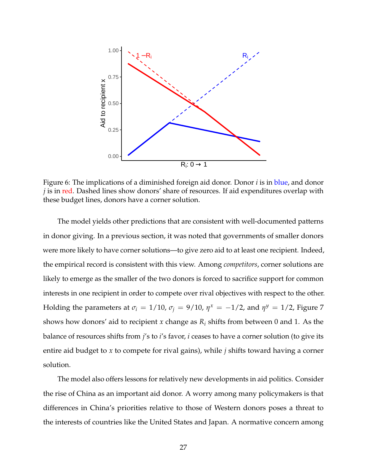

Figure 6: The implications of a diminished foreign aid donor. Donor *i* is in blue, and donor *j* is in red. Dashed lines show donors' share of resources. If aid expenditures overlap with these budget lines, donors have a corner solution.

The model yields other predictions that are consistent with well-documented patterns in donor giving. In a previous section, it was noted that governments of smaller donors were more likely to have corner solutions—to give zero aid to at least one recipient. Indeed, the empirical record is consistent with this view. Among *competitors*, corner solutions are likely to emerge as the smaller of the two donors is forced to sacrifice support for common interests in one recipient in order to compete over rival objectives with respect to the other. Holding the parameters at  $\sigma_i = 1/10$ ,  $\sigma_j = 9/10$ ,  $\eta^x = -1/2$ , and  $\eta^y = 1/2$ , Figure 7 shows how donors' aid to recipient *x* change as  $R_i$  shifts from between 0 and 1. As the balance of resources shifts from *j*'s to *i*'s favor, *i* ceases to have a corner solution (to give its entire aid budget to *x* to compete for rival gains), while *j* shifts toward having a corner solution.

The model also offers lessons for relatively new developments in aid politics. Consider the rise of China as an important aid donor. A worry among many policymakers is that differences in China's priorities relative to those of Western donors poses a threat to the interests of countries like the United States and Japan. A normative concern among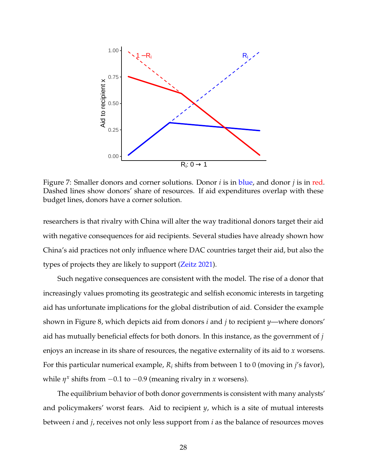

Figure 7: Smaller donors and corner solutions. Donor *i* is in blue, and donor *j* is in red. Dashed lines show donors' share of resources. If aid expenditures overlap with these budget lines, donors have a corner solution.

researchers is that rivalry with China will alter the way traditional donors target their aid with negative consequences for aid recipients. Several studies have already shown how China's aid practices not only influence where DAC countries target their aid, but also the types of projects they are likely to support [\(Zeitz 2021\)](#page-48-12).

Such negative consequences are consistent with the model. The rise of a donor that increasingly values promoting its geostrategic and selfish economic interests in targeting aid has unfortunate implications for the global distribution of aid. Consider the example shown in Figure 8, which depicts aid from donors *i* and *j* to recipient *y*—where donors' aid has mutually beneficial effects for both donors. In this instance, as the government of *j* enjoys an increase in its share of resources, the negative externality of its aid to *x* worsens. For this particular numerical example,  $R_i$  shifts from between 1 to 0 (moving in *j's* favor), while  $\eta^x$  shifts from  $-0.1$  to  $-0.9$  (meaning rivalry in *x* worsens).

The equilibrium behavior of both donor governments is consistent with many analysts' and policymakers' worst fears. Aid to recipient *y*, which is a site of mutual interests between *i* and *j*, receives not only less support from *i* as the balance of resources moves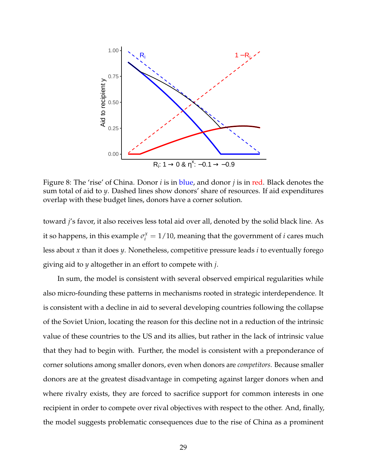

Figure 8: The 'rise' of China. Donor *i* is in blue, and donor *j* is in red. Black denotes the sum total of aid to *y*. Dashed lines show donors' share of resources. If aid expenditures overlap with these budget lines, donors have a corner solution.

toward *j*'s favor, it also receives less total aid over all, denoted by the solid black line. As it so happens, in this example  $\sigma_i^x = 1/10$ , meaning that the government of *i* cares much less about *x* than it does *y*. Nonetheless, competitive pressure leads *i* to eventually forego giving aid to *y* altogether in an effort to compete with *j*.

In sum, the model is consistent with several observed empirical regularities while also micro-founding these patterns in mechanisms rooted in strategic interdependence. It is consistent with a decline in aid to several developing countries following the collapse of the Soviet Union, locating the reason for this decline not in a reduction of the intrinsic value of these countries to the US and its allies, but rather in the lack of intrinsic value that they had to begin with. Further, the model is consistent with a preponderance of corner solutions among smaller donors, even when donors are *competitors*. Because smaller donors are at the greatest disadvantage in competing against larger donors when and where rivalry exists, they are forced to sacrifice support for common interests in one recipient in order to compete over rival objectives with respect to the other. And, finally, the model suggests problematic consequences due to the rise of China as a prominent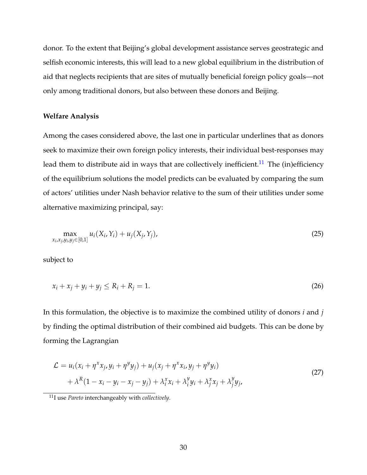donor. To the extent that Beijing's global development assistance serves geostrategic and selfish economic interests, this will lead to a new global equilibrium in the distribution of aid that neglects recipients that are sites of mutually beneficial foreign policy goals—not only among traditional donors, but also between these donors and Beijing.

## **Welfare Analysis**

Among the cases considered above, the last one in particular underlines that as donors seek to maximize their own foreign policy interests, their individual best-responses may lead them to distribute aid in ways that are collectively inefficient.<sup>[11](#page-0-0)</sup> The (in)efficiency of the equilibrium solutions the model predicts can be evaluated by comparing the sum of actors' utilities under Nash behavior relative to the sum of their utilities under some alternative maximizing principal, say:

$$
\max_{x_i, x_j, y_i, y_j \in [0,1]} u_i(X_i, Y_i) + u_j(X_j, Y_j),
$$
\n(25)

subject to

$$
x_i + x_j + y_i + y_j \le R_i + R_j = 1.
$$
\n(26)

In this formulation, the objective is to maximize the combined utility of donors *i* and *j* by finding the optimal distribution of their combined aid budgets. This can be done by forming the Lagrangian

$$
\mathcal{L} = u_i(x_i + \eta^x x_j, y_i + \eta^y y_j) + u_j(x_j + \eta^x x_i, y_j + \eta^y y_i)
$$
  
+  $\lambda^R (1 - x_i - y_i - x_j - y_j) + \lambda_i^x x_i + \lambda_i^y y_i + \lambda_j^x x_j + \lambda_j^y y_j,$  (27)

<sup>11</sup>I use *Pareto* interchangeably with *collectively*.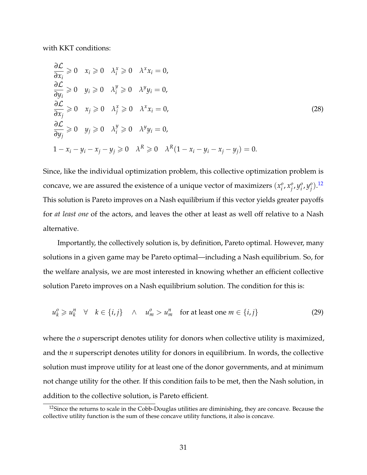with KKT conditions:

$$
\frac{\partial \mathcal{L}}{\partial x_i} \geq 0 \quad x_i \geq 0 \quad \lambda_i^x \geq 0 \quad \lambda^x x_i = 0,
$$
  
\n
$$
\frac{\partial \mathcal{L}}{\partial y_i} \geq 0 \quad y_i \geq 0 \quad \lambda_i^y \geq 0 \quad \lambda^y y_i = 0,
$$
  
\n
$$
\frac{\partial \mathcal{L}}{\partial x_j} \geq 0 \quad x_j \geq 0 \quad \lambda_j^x \geq 0 \quad \lambda^x x_i = 0,
$$
  
\n
$$
\frac{\partial \mathcal{L}}{\partial y_j} \geq 0 \quad y_j \geq 0 \quad \lambda_j^y \geq 0 \quad \lambda^y y_i = 0,
$$
  
\n
$$
1 - x_i - y_i - x_j - y_j \geq 0 \quad \lambda^R \geq 0 \quad \lambda^R (1 - x_i - y_i - x_j - y_j) = 0.
$$
\n(28)

Since, like the individual optimization problem, this collective optimization problem is concave, we are assured the existence of a unique vector of maximizers  $(x_i^o)$  $\hat{a}$ ,  $x_j^o$ *j* , *y o*  $\frac{\partial}{\partial}$ ,  $y_j^0$ *j* ). [12](#page-0-0) This solution is Pareto improves on a Nash equilibrium if this vector yields greater payoffs for *at least one* of the actors, and leaves the other at least as well off relative to a Nash alternative.

Importantly, the collectively solution is, by definition, Pareto optimal. However, many solutions in a given game may be Pareto optimal—including a Nash equilibrium. So, for the welfare analysis, we are most interested in knowing whether an efficient collective solution Pareto improves on a Nash equilibrium solution. The condition for this is:

$$
u_k^o \geq u_k^n \quad \forall \quad k \in \{i, j\} \quad \wedge \quad u_m^o > u_m^n \quad \text{for at least one } m \in \{i, j\}
$$
 (29)

where the *o* superscript denotes utility for donors when collective utility is maximized, and the *n* superscript denotes utility for donors in equilibrium. In words, the collective solution must improve utility for at least one of the donor governments, and at minimum not change utility for the other. If this condition fails to be met, then the Nash solution, in addition to the collective solution, is Pareto efficient.

<sup>&</sup>lt;sup>12</sup>Since the returns to scale in the Cobb-Douglas utilities are diminishing, they are concave. Because the collective utility function is the sum of these concave utility functions, it also is concave.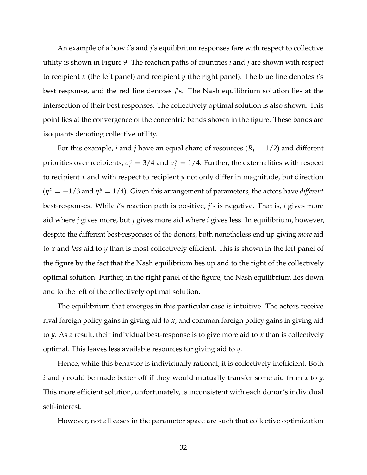An example of a how *i*'s and *j*'s equilibrium responses fare with respect to collective utility is shown in Figure 9. The reaction paths of countries *i* and *j* are shown with respect to recipient *x* (the left panel) and recipient *y* (the right panel). The blue line denotes *i*'s best response, and the red line denotes *j*'s. The Nash equilibrium solution lies at the intersection of their best responses. The collectively optimal solution is also shown. This point lies at the convergence of the concentric bands shown in the figure. These bands are isoquants denoting collective utility.

For this example, *i* and *j* have an equal share of resources ( $R_i = 1/2$ ) and different priorities over recipients,  $\sigma_i^x = 3/4$  and  $\sigma_j^x = 1/4$ . Further, the externalities with respect to recipient *x* and with respect to recipient *y* not only differ in magnitude, but direction  $(\eta^x = -1/3$  and  $\eta^y = 1/4$ ). Given this arrangement of parameters, the actors have *different* best-responses. While *i*'s reaction path is positive, *j*'s is negative. That is, *i* gives more aid where *j* gives more, but *j* gives more aid where *i* gives less. In equilibrium, however, despite the different best-responses of the donors, both nonetheless end up giving *more* aid to *x* and *less* aid to *y* than is most collectively efficient. This is shown in the left panel of the figure by the fact that the Nash equilibrium lies up and to the right of the collectively optimal solution. Further, in the right panel of the figure, the Nash equilibrium lies down and to the left of the collectively optimal solution.

The equilibrium that emerges in this particular case is intuitive. The actors receive rival foreign policy gains in giving aid to *x*, and common foreign policy gains in giving aid to *y*. As a result, their individual best-response is to give more aid to *x* than is collectively optimal. This leaves less available resources for giving aid to *y*.

Hence, while this behavior is individually rational, it is collectively inefficient. Both *i* and *j* could be made better off if they would mutually transfer some aid from *x* to *y*. This more efficient solution, unfortunately, is inconsistent with each donor's individual self-interest.

However, not all cases in the parameter space are such that collective optimization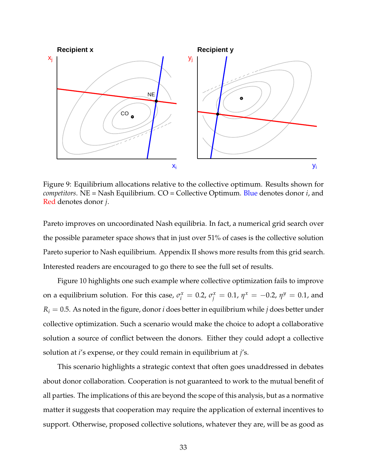

Figure 9: Equilibrium allocations relative to the collective optimum. Results shown for *competitors*. NE = Nash Equilibrium. CO = Collective Optimum. Blue denotes donor *i*, and Red denotes donor *j*.

Pareto improves on uncoordinated Nash equilibria. In fact, a numerical grid search over the possible parameter space shows that in just over 51% of cases is the collective solution Pareto superior to Nash equilibrium. Appendix II shows more results from this grid search. Interested readers are encouraged to go there to see the full set of results.

Figure 10 highlights one such example where collective optimization fails to improve on a equilibrium solution. For this case,  $\sigma_i^x = 0.2$ ,  $\sigma_j^x = 0.1$ ,  $\eta^x = -0.2$ ,  $\eta^y = 0.1$ , and  $R_i = 0.5$ . As noted in the figure, donor *i* does better in equilibrium while *j* does better under collective optimization. Such a scenario would make the choice to adopt a collaborative solution a source of conflict between the donors. Either they could adopt a collective solution at *i*'s expense, or they could remain in equilibrium at *j*'s.

This scenario highlights a strategic context that often goes unaddressed in debates about donor collaboration. Cooperation is not guaranteed to work to the mutual benefit of all parties. The implications of this are beyond the scope of this analysis, but as a normative matter it suggests that cooperation may require the application of external incentives to support. Otherwise, proposed collective solutions, whatever they are, will be as good as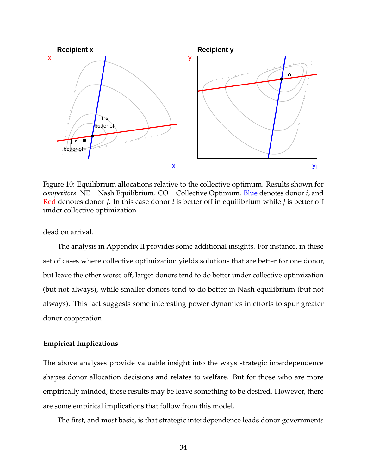

Figure 10: Equilibrium allocations relative to the collective optimum. Results shown for *competitors*. NE = Nash Equilibrium. CO = Collective Optimum. Blue denotes donor *i*, and Red denotes donor *j*. In this case donor *i* is better off in equilibrium while *j* is better off under collective optimization.

dead on arrival.

The analysis in Appendix II provides some additional insights. For instance, in these set of cases where collective optimization yields solutions that are better for one donor, but leave the other worse off, larger donors tend to do better under collective optimization (but not always), while smaller donors tend to do better in Nash equilibrium (but not always). This fact suggests some interesting power dynamics in efforts to spur greater donor cooperation.

#### **Empirical Implications**

The above analyses provide valuable insight into the ways strategic interdependence shapes donor allocation decisions and relates to welfare. But for those who are more empirically minded, these results may be leave something to be desired. However, there are some empirical implications that follow from this model.

The first, and most basic, is that strategic interdependence leads donor governments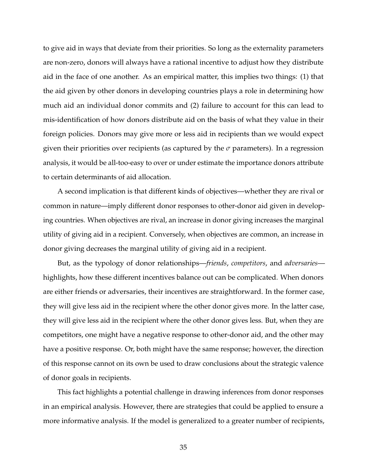to give aid in ways that deviate from their priorities. So long as the externality parameters are non-zero, donors will always have a rational incentive to adjust how they distribute aid in the face of one another. As an empirical matter, this implies two things: (1) that the aid given by other donors in developing countries plays a role in determining how much aid an individual donor commits and (2) failure to account for this can lead to mis-identification of how donors distribute aid on the basis of what they value in their foreign policies. Donors may give more or less aid in recipients than we would expect given their priorities over recipients (as captured by the  $\sigma$  parameters). In a regression analysis, it would be all-too-easy to over or under estimate the importance donors attribute to certain determinants of aid allocation.

A second implication is that different kinds of objectives—whether they are rival or common in nature—imply different donor responses to other-donor aid given in developing countries. When objectives are rival, an increase in donor giving increases the marginal utility of giving aid in a recipient. Conversely, when objectives are common, an increase in donor giving decreases the marginal utility of giving aid in a recipient.

But, as the typology of donor relationships—*friends*, *competitors*, and *adversaries* highlights, how these different incentives balance out can be complicated. When donors are either friends or adversaries, their incentives are straightforward. In the former case, they will give less aid in the recipient where the other donor gives more. In the latter case, they will give less aid in the recipient where the other donor gives less. But, when they are competitors, one might have a negative response to other-donor aid, and the other may have a positive response. Or, both might have the same response; however, the direction of this response cannot on its own be used to draw conclusions about the strategic valence of donor goals in recipients.

This fact highlights a potential challenge in drawing inferences from donor responses in an empirical analysis. However, there are strategies that could be applied to ensure a more informative analysis. If the model is generalized to a greater number of recipients,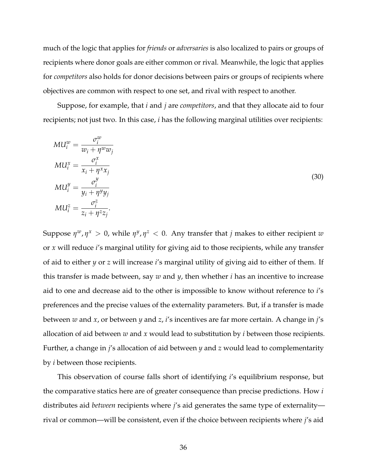much of the logic that applies for *friends* or *adversaries* is also localized to pairs or groups of recipients where donor goals are either common or rival. Meanwhile, the logic that applies for *competitors* also holds for donor decisions between pairs or groups of recipients where objectives are common with respect to one set, and rival with respect to another.

Suppose, for example, that *i* and *j* are *competitors*, and that they allocate aid to four recipients; not just two. In this case, *i* has the following marginal utilities over recipients:

$$
MU_i^w = \frac{\sigma_i^w}{w_i + \eta^w w_j}
$$
  
\n
$$
MU_i^x = \frac{\sigma_i^x}{x_i + \eta^x x_j}
$$
  
\n
$$
MU_i^y = \frac{\sigma_i^y}{y_i + \eta^y y_j}
$$
  
\n
$$
MU_i^z = \frac{\sigma_i^z}{z_i + \eta^z z_j}.
$$
  
\n(30)

Suppose  $\eta^w$ ,  $\eta^x > 0$ , while  $\eta^y$ ,  $\eta^z < 0$ . Any transfer that *j* makes to either recipient  $w$ or *x* will reduce *i*'s marginal utility for giving aid to those recipients, while any transfer of aid to either *y* or *z* will increase *i*'s marginal utility of giving aid to either of them. If this transfer is made between, say *w* and *y*, then whether *i* has an incentive to increase aid to one and decrease aid to the other is impossible to know without reference to *i*'s preferences and the precise values of the externality parameters. But, if a transfer is made between *w* and *x*, or between *y* and *z*, *i*'s incentives are far more certain. A change in *j*'s allocation of aid between *w* and *x* would lead to substitution by *i* between those recipients. Further, a change in *j*'s allocation of aid between *y* and *z* would lead to complementarity by *i* between those recipients.

This observation of course falls short of identifying *i*'s equilibrium response, but the comparative statics here are of greater consequence than precise predictions. How *i* distributes aid *between* recipients where *j*'s aid generates the same type of externality rival or common—will be consistent, even if the choice between recipients where *j*'s aid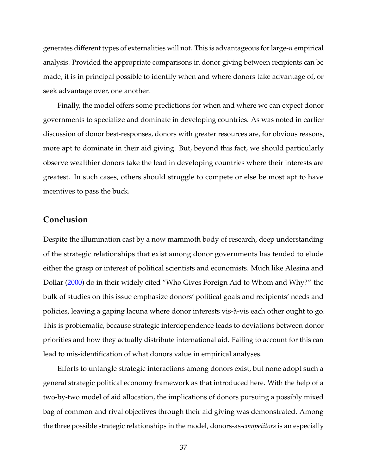generates different types of externalities will not. This is advantageous for large-*n* empirical analysis. Provided the appropriate comparisons in donor giving between recipients can be made, it is in principal possible to identify when and where donors take advantage of, or seek advantage over, one another.

Finally, the model offers some predictions for when and where we can expect donor governments to specialize and dominate in developing countries. As was noted in earlier discussion of donor best-responses, donors with greater resources are, for obvious reasons, more apt to dominate in their aid giving. But, beyond this fact, we should particularly observe wealthier donors take the lead in developing countries where their interests are greatest. In such cases, others should struggle to compete or else be most apt to have incentives to pass the buck.

## **Conclusion**

Despite the illumination cast by a now mammoth body of research, deep understanding of the strategic relationships that exist among donor governments has tended to elude either the grasp or interest of political scientists and economists. Much like Alesina and Dollar [\(2000\)](#page-47-7) do in their widely cited "Who Gives Foreign Aid to Whom and Why?" the bulk of studies on this issue emphasize donors' political goals and recipients' needs and policies, leaving a gaping lacuna where donor interests vis-à-vis each other ought to go. This is problematic, because strategic interdependence leads to deviations between donor priorities and how they actually distribute international aid. Failing to account for this can lead to mis-identification of what donors value in empirical analyses.

Efforts to untangle strategic interactions among donors exist, but none adopt such a general strategic political economy framework as that introduced here. With the help of a two-by-two model of aid allocation, the implications of donors pursuing a possibly mixed bag of common and rival objectives through their aid giving was demonstrated. Among the three possible strategic relationships in the model, donors-as-*competitors* is an especially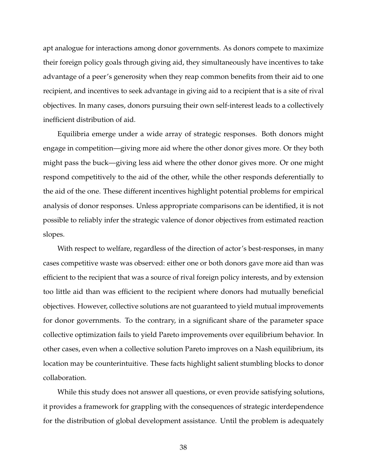apt analogue for interactions among donor governments. As donors compete to maximize their foreign policy goals through giving aid, they simultaneously have incentives to take advantage of a peer's generosity when they reap common benefits from their aid to one recipient, and incentives to seek advantage in giving aid to a recipient that is a site of rival objectives. In many cases, donors pursuing their own self-interest leads to a collectively inefficient distribution of aid.

Equilibria emerge under a wide array of strategic responses. Both donors might engage in competition—giving more aid where the other donor gives more. Or they both might pass the buck—giving less aid where the other donor gives more. Or one might respond competitively to the aid of the other, while the other responds deferentially to the aid of the one. These different incentives highlight potential problems for empirical analysis of donor responses. Unless appropriate comparisons can be identified, it is not possible to reliably infer the strategic valence of donor objectives from estimated reaction slopes.

With respect to welfare, regardless of the direction of actor's best-responses, in many cases competitive waste was observed: either one or both donors gave more aid than was efficient to the recipient that was a source of rival foreign policy interests, and by extension too little aid than was efficient to the recipient where donors had mutually beneficial objectives. However, collective solutions are not guaranteed to yield mutual improvements for donor governments. To the contrary, in a significant share of the parameter space collective optimization fails to yield Pareto improvements over equilibrium behavior. In other cases, even when a collective solution Pareto improves on a Nash equilibrium, its location may be counterintuitive. These facts highlight salient stumbling blocks to donor collaboration.

While this study does not answer all questions, or even provide satisfying solutions, it provides a framework for grappling with the consequences of strategic interdependence for the distribution of global development assistance. Until the problem is adequately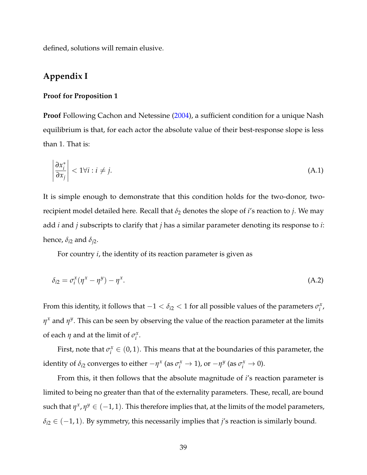defined, solutions will remain elusive.

# **Appendix I**

#### **Proof for Proposition 1**

**Proof** Following Cachon and Netessine [\(2004\)](#page-47-8), a sufficient condition for a unique Nash equilibrium is that, for each actor the absolute value of their best-response slope is less than 1. That is:

$$
\left|\frac{\partial x_i^*}{\partial x_j}\right| < 1 \forall i : i \neq j. \tag{A.1}
$$

It is simple enough to demonstrate that this condition holds for the two-donor, tworecipient model detailed here. Recall that  $\delta_2$  denotes the slope of *i*'s reaction to *j*. We may add *i* and *j* subscripts to clarify that *j* has a similar parameter denoting its response to *i*: hence, *δi*<sup>2</sup> and *δj*<sup>2</sup> .

For country *i*, the identity of its reaction parameter is given as

$$
\delta_{i2} = \sigma_i^x (\eta^x - \eta^y) - \eta^x. \tag{A.2}
$$

From this identity, it follows that  $-1 < \delta_{i2} < 1$  for all possible values of the parameters  $\sigma_i^x$ *i* , *η <sup>x</sup>* and *η y* . This can be seen by observing the value of the reaction parameter at the limits of each  $\eta$  and at the limit of  $\sigma_i^x$ *i* .

First, note that  $\sigma_i^x \in (0,1)$ . This means that at the boundaries of this parameter, the identity of  $\delta_{i2}$  converges to either  $-\eta^x$  (as  $\sigma_i^x \to 1$ ), or  $-\eta^y$  (as  $\sigma_i^x \to 0$ ).

From this, it then follows that the absolute magnitude of *i*'s reaction parameter is limited to being no greater than that of the externality parameters. These, recall, are bound such that  $\eta^x$ ,  $\eta^y \in (-1,1)$ . This therefore implies that, at the limits of the model parameters, *δi*<sup>2</sup> ∈ (−1, 1). By symmetry, this necessarily implies that *j*'s reaction is similarly bound.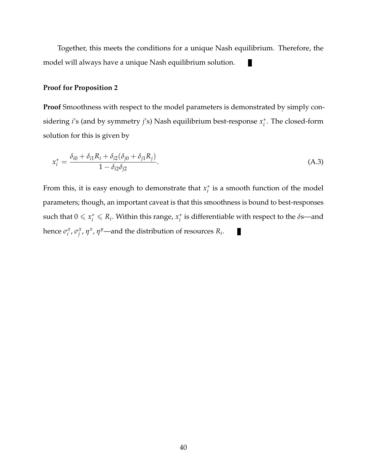Together, this meets the conditions for a unique Nash equilibrium. Therefore, the model will always have a unique Nash equilibrium solution. п

#### **Proof for Proposition 2**

**Proof** Smoothness with respect to the model parameters is demonstrated by simply considering *i*'s (and by symmetry *j*'s) Nash equilibrium best-response *x* ∗ *i* . The closed-form solution for this is given by

$$
x_i^* = \frac{\delta_{i0} + \delta_{i1} R_i + \delta_{i2} (\delta_{j0} + \delta_{j1} R_j)}{1 - \delta_{i2} \delta_{j2}}.
$$
 (A.3)

From this, it is easy enough to demonstrate that  $x_i^*$  $i$ <sub>i</sub> is a smooth function of the model parameters; though, an important caveat is that this smoothness is bound to best-responses such that  $0 \leqslant x_i^* \leqslant R_i$ . Within this range,  $x_i^*$ *i* is differentiable with respect to the *δ*s—and hence  $\sigma_i^x$ *i* , *σ x f*<sub>*i*</sub>, *η<sup>x</sup>*, *η<sup>y</sup>*—and the distribution of resources *R<sub>i</sub>*.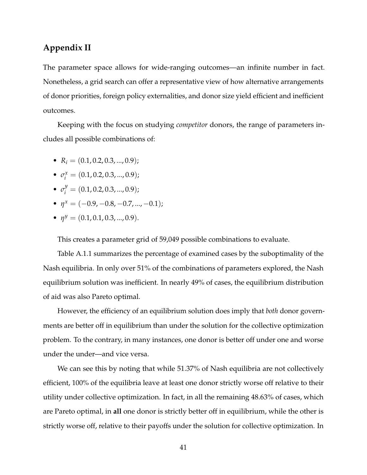# **Appendix II**

The parameter space allows for wide-ranging outcomes—an infinite number in fact. Nonetheless, a grid search can offer a representative view of how alternative arrangements of donor priorities, foreign policy externalities, and donor size yield efficient and inefficient outcomes.

Keeping with the focus on studying *competitor* donors, the range of parameters includes all possible combinations of:

- $R_i = (0.1, 0.2, 0.3, ..., 0.9);$
- $\bullet$   $\sigma_i^x = (0.1, 0.2, 0.3, ..., 0.9);$
- $\sigma_i^y = (0.1, 0.2, 0.3, ..., 0.9);$
- $\eta^x = (-0.9, -0.8, -0.7, ..., -0.1);$
- $\eta^y = (0.1, 0.1, 0.3, ..., 0.9).$

This creates a parameter grid of 59,049 possible combinations to evaluate.

Table A.1.1 summarizes the percentage of examined cases by the suboptimality of the Nash equilibria. In only over 51% of the combinations of parameters explored, the Nash equilibrium solution was inefficient. In nearly 49% of cases, the equilibrium distribution of aid was also Pareto optimal.

However, the efficiency of an equilibrium solution does imply that *both* donor governments are better off in equilibrium than under the solution for the collective optimization problem. To the contrary, in many instances, one donor is better off under one and worse under the under—and vice versa.

We can see this by noting that while 51.37% of Nash equilibria are not collectively efficient, 100% of the equilibria leave at least one donor strictly worse off relative to their utility under collective optimization. In fact, in all the remaining 48.63% of cases, which are Pareto optimal, in **all** one donor is strictly better off in equilibrium, while the other is strictly worse off, relative to their payoffs under the solution for collective optimization. In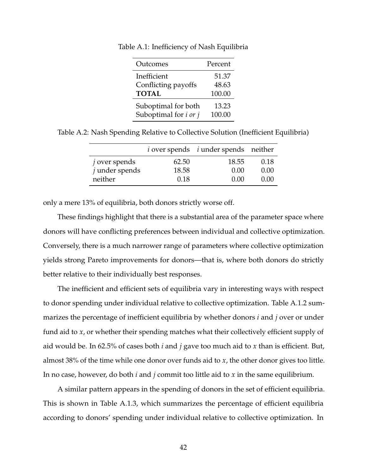| Outcomes                            | Percent |
|-------------------------------------|---------|
| Inefficient                         | 51.37   |
| Conflicting payoffs                 | 48.63   |
| <b>TOTAL</b>                        | 100.00  |
| Suboptimal for both                 | 13.23   |
| Suboptimal for <i>i</i> or <i>j</i> | 100.00  |

Table A.1: Inefficiency of Nash Equilibria

Table A.2: Nash Spending Relative to Collective Solution (Inefficient Equilibria)

|                  |       | <i>i</i> over spends <i>i</i> under spends neither |      |
|------------------|-------|----------------------------------------------------|------|
| $j$ over spends  | 62.50 | 18.55                                              | 0.18 |
| $j$ under spends | 18.58 | 0.00                                               | 0.00 |
| neither          | 0.18  | 0. QQ                                              | 0.00 |

only a mere 13% of equilibria, both donors strictly worse off.

These findings highlight that there is a substantial area of the parameter space where donors will have conflicting preferences between individual and collective optimization. Conversely, there is a much narrower range of parameters where collective optimization yields strong Pareto improvements for donors—that is, where both donors do strictly better relative to their individually best responses.

The inefficient and efficient sets of equilibria vary in interesting ways with respect to donor spending under individual relative to collective optimization. Table A.1.2 summarizes the percentage of inefficient equilibria by whether donors *i* and *j* over or under fund aid to *x*, or whether their spending matches what their collectively efficient supply of aid would be. In 62.5% of cases both *i* and *j* gave too much aid to *x* than is efficient. But, almost 38% of the time while one donor over funds aid to *x*, the other donor gives too little. In no case, however, do both *i* and *j* commit too little aid to *x* in the same equilibrium.

A similar pattern appears in the spending of donors in the set of efficient equilibria. This is shown in Table A.1.3, which summarizes the percentage of efficient equilibria according to donors' spending under individual relative to collective optimization. In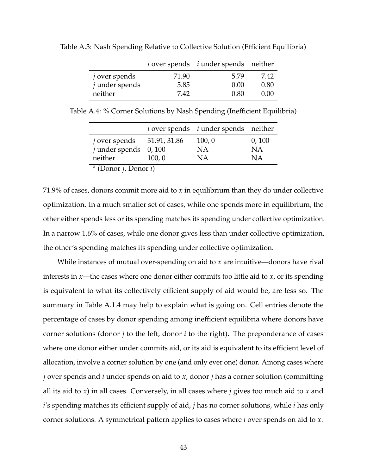|                  |       | <i>i</i> over spends <i>i</i> under spends neither |      |
|------------------|-------|----------------------------------------------------|------|
| $j$ over spends  | 71.90 | 5.79                                               | 7.42 |
| $j$ under spends | 5.85  | 0.00                                               | 0.80 |
| neither          | 7.42  | 0.80                                               | 0.00 |

Table A.3: Nash Spending Relative to Collective Solution (Efficient Equilibria)

Table A.4: % Corner Solutions by Nash Spending (Inefficient Equilibria)

|                                                 |        | $i$ over spends $i$ under spends neither |           |
|-------------------------------------------------|--------|------------------------------------------|-----------|
| $j$ over spends $31.91, 31.86$                  |        | 100, 0                                   | 0,100     |
| $j$ under spends 0, 100                         |        | <b>NA</b>                                | <b>NA</b> |
| neither                                         | 100, 0 | <b>NA</b>                                | <b>NA</b> |
| <sup>a</sup> (Donor <i>j</i> , Donor <i>i</i> ) |        |                                          |           |

71.9% of cases, donors commit more aid to *x* in equilibrium than they do under collective optimization. In a much smaller set of cases, while one spends more in equilibrium, the other either spends less or its spending matches its spending under collective optimization. In a narrow 1.6% of cases, while one donor gives less than under collective optimization, the other's spending matches its spending under collective optimization.

While instances of mutual over-spending on aid to *x* are intuitive—donors have rival interests in *x*—the cases where one donor either commits too little aid to *x*, or its spending is equivalent to what its collectively efficient supply of aid would be, are less so. The summary in Table A.1.4 may help to explain what is going on. Cell entries denote the percentage of cases by donor spending among inefficient equilibria where donors have corner solutions (donor *j* to the left, donor *i* to the right). The preponderance of cases where one donor either under commits aid, or its aid is equivalent to its efficient level of allocation, involve a corner solution by one (and only ever one) donor. Among cases where *j* over spends and *i* under spends on aid to *x*, donor *j* has a corner solution (committing all its aid to *x*) in all cases. Conversely, in all cases where *j* gives too much aid to *x* and *i*'s spending matches its efficient supply of aid, *j* has no corner solutions, while *i* has only corner solutions. A symmetrical pattern applies to cases where *i* over spends on aid to *x*.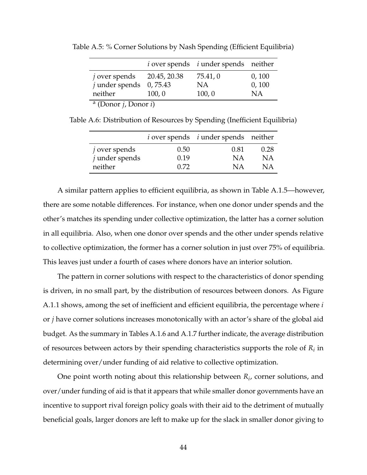|                                                 |        | $i$ over spends $i$ under spends neither |        |
|-------------------------------------------------|--------|------------------------------------------|--------|
| $j$ over spends $20.45$ , 20.38                 |        | 75.41,0                                  | 0,100  |
| $j$ under spends 0, 75.43                       |        | <b>NA</b>                                | 0, 100 |
| neither                                         | 100, 0 | 100, 0                                   | NA     |
| <sup>a</sup> (Donor <i>j</i> , Donor <i>i</i> ) |        |                                          |        |

Table A.5: % Corner Solutions by Nash Spending (Efficient Equilibria)

Table A.6: Distribution of Resources by Spending (Inefficient Equilibria)

|                      |      | <i>i</i> over spends <i>i</i> under spends neither |      |
|----------------------|------|----------------------------------------------------|------|
| <i>j</i> over spends | 0.50 | 0.81                                               | 0.28 |
| $j$ under spends     | 0.19 | ΝA                                                 | ΝA   |
| neither              | 0.72 | ΝA                                                 | ΝA   |

A similar pattern applies to efficient equilibria, as shown in Table A.1.5—however, there are some notable differences. For instance, when one donor under spends and the other's matches its spending under collective optimization, the latter has a corner solution in all equilibria. Also, when one donor over spends and the other under spends relative to collective optimization, the former has a corner solution in just over 75% of equilibria. This leaves just under a fourth of cases where donors have an interior solution.

The pattern in corner solutions with respect to the characteristics of donor spending is driven, in no small part, by the distribution of resources between donors. As Figure A.1.1 shows, among the set of inefficient and efficient equilibria, the percentage where *i* or *j* have corner solutions increases monotonically with an actor's share of the global aid budget. As the summary in Tables A.1.6 and A.1.7 further indicate, the average distribution of resources between actors by their spending characteristics supports the role of *R<sup>i</sup>* in determining over/under funding of aid relative to collective optimization.

One point worth noting about this relationship between *R<sup>i</sup>* , corner solutions, and over/under funding of aid is that it appears that while smaller donor governments have an incentive to support rival foreign policy goals with their aid to the detriment of mutually beneficial goals, larger donors are left to make up for the slack in smaller donor giving to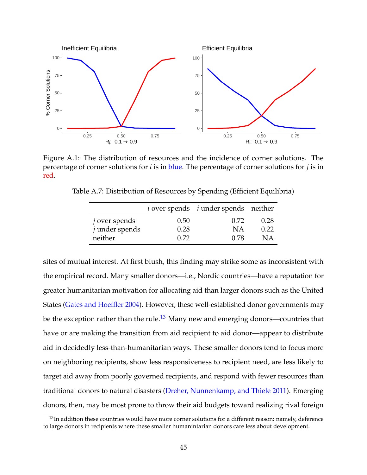

Figure A.1: The distribution of resources and the incidence of corner solutions. The percentage of corner solutions for *i* is in blue. The percentage of corner solutions for *j* is in red.

|                  |      | <i>i</i> over spends <i>i</i> under spends neither |      |
|------------------|------|----------------------------------------------------|------|
| $j$ over spends  | 0.50 | 0.72                                               | 0.28 |
| $j$ under spends | 0.28 | N A                                                | 0.22 |
| neither          | 0.72 | 0.78                                               | NА   |

Table A.7: Distribution of Resources by Spending (Efficient Equilibria)

sites of mutual interest. At first blush, this finding may strike some as inconsistent with the empirical record. Many smaller donors—i.e., Nordic countries—have a reputation for greater humanitarian motivation for allocating aid than larger donors such as the United States [\(Gates and Hoeffler 2004\)](#page-47-9). However, these well-established donor governments may be the exception rather than the rule.<sup>[13](#page-0-0)</sup> Many new and emerging donors—countries that have or are making the transition from aid recipient to aid donor—appear to distribute aid in decidedly less-than-humanitarian ways. These smaller donors tend to focus more on neighboring recipients, show less responsiveness to recipient need, are less likely to target aid away from poorly governed recipients, and respond with fewer resources than traditional donors to natural disasters [\(Dreher, Nunnenkamp, and Thiele 2011\)](#page-47-10). Emerging donors, then, may be most prone to throw their aid budgets toward realizing rival foreign

<sup>&</sup>lt;sup>13</sup>In addition these countries would have more corner solutions for a different reason: namely, deference to large donors in recipients where these smaller humanintarian donors care less about development.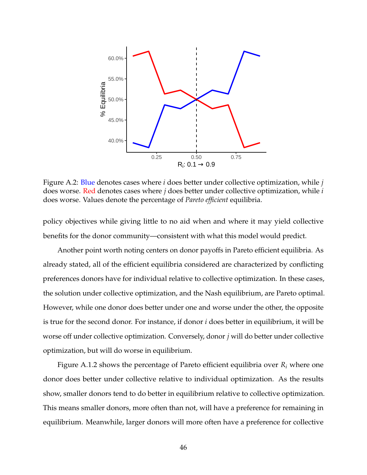

Figure A.2: Blue denotes cases where *i* does better under collective optimization, while *j* does worse. Red denotes cases where *j* does better under collective optimization, while *i* does worse. Values denote the percentage of *Pareto efficient* equilibria.

policy objectives while giving little to no aid when and where it may yield collective benefits for the donor community—consistent with what this model would predict.

Another point worth noting centers on donor payoffs in Pareto efficient equilibria. As already stated, all of the efficient equilibria considered are characterized by conflicting preferences donors have for individual relative to collective optimization. In these cases, the solution under collective optimization, and the Nash equilibrium, are Pareto optimal. However, while one donor does better under one and worse under the other, the opposite is true for the second donor. For instance, if donor *i* does better in equilibrium, it will be worse off under collective optimization. Conversely, donor *j* will do better under collective optimization, but will do worse in equilibrium.

Figure A.1.2 shows the percentage of Pareto efficient equilibria over *R<sup>i</sup>* where one donor does better under collective relative to individual optimization. As the results show, smaller donors tend to do better in equilibrium relative to collective optimization. This means smaller donors, more often than not, will have a preference for remaining in equilibrium. Meanwhile, larger donors will more often have a preference for collective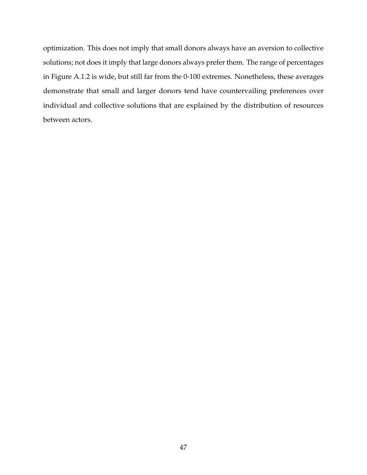optimization. This does not imply that small donors always have an aversion to collective solutions; not does it imply that large donors always prefer them. The range of percentages in Figure A.1.2 is wide, but still far from the 0-100 extremes. Nonetheless, these averages demonstrate that small and larger donors tend have countervailing preferences over individual and collective solutions that are explained by the distribution of resources between actors.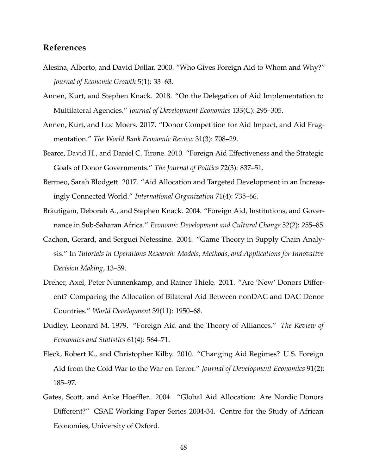# **References**

- <span id="page-47-7"></span>Alesina, Alberto, and David Dollar. 2000. "Who Gives Foreign Aid to Whom and Why?" *Journal of Economic Growth* 5(1): 33–63.
- <span id="page-47-2"></span>Annen, Kurt, and Stephen Knack. 2018. "On the Delegation of Aid Implementation to Multilateral Agencies." *Journal of Development Economics* 133(C): 295–305.
- <span id="page-47-3"></span>Annen, Kurt, and Luc Moers. 2017. "Donor Competition for Aid Impact, and Aid Fragmentation." *The World Bank Economic Review* 31(3): 708–29.
- <span id="page-47-4"></span>Bearce, David H., and Daniel C. Tirone. 2010. "Foreign Aid Effectiveness and the Strategic Goals of Donor Governments." *The Journal of Politics* 72(3): 837–51.
- <span id="page-47-5"></span>Bermeo, Sarah Blodgett. 2017. "Aid Allocation and Targeted Development in an Increasingly Connected World." *International Organization* 71(4): 735–66.
- <span id="page-47-6"></span>Bräutigam, Deborah A., and Stephen Knack. 2004. "Foreign Aid, Institutions, and Governance in Sub-Saharan Africa." *Economic Development and Cultural Change* 52(2): 255–85.
- <span id="page-47-8"></span>Cachon, Gerard, and Serguei Netessine. 2004. "Game Theory in Supply Chain Analysis." In *Tutorials in Operations Research: Models, Methods, and Applications for Innovative Decision Making*, 13–59.
- <span id="page-47-10"></span>Dreher, Axel, Peter Nunnenkamp, and Rainer Thiele. 2011. "Are 'New' Donors Different? Comparing the Allocation of Bilateral Aid Between nonDAC and DAC Donor Countries." *World Development* 39(11): 1950–68.
- <span id="page-47-1"></span>Dudley, Leonard M. 1979. "Foreign Aid and the Theory of Alliances." *The Review of Economics and Statistics* 61(4): 564–71.
- <span id="page-47-0"></span>Fleck, Robert K., and Christopher Kilby. 2010. "Changing Aid Regimes? U.S. Foreign Aid from the Cold War to the War on Terror." *Journal of Development Economics* 91(2): 185–97.
- <span id="page-47-9"></span>Gates, Scott, and Anke Hoeffler. 2004. "Global Aid Allocation: Are Nordic Donors Different?" CSAE Working Paper Series 2004-34. Centre for the Study of African Economies, University of Oxford.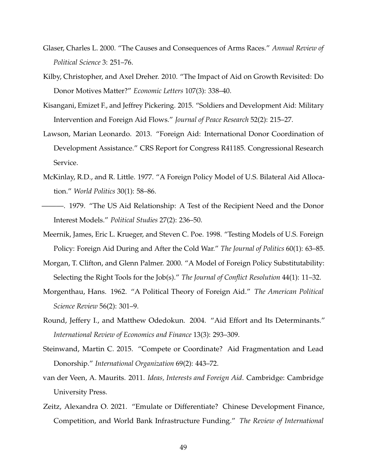- <span id="page-48-11"></span>Glaser, Charles L. 2000. "The Causes and Consequences of Arms Races." *Annual Review of Political Science* 3: 251–76.
- <span id="page-48-7"></span>Kilby, Christopher, and Axel Dreher. 2010. "The Impact of Aid on Growth Revisited: Do Donor Motives Matter?" *Economic Letters* 107(3): 338–40.
- <span id="page-48-8"></span>Kisangani, Emizet F., and Jeffrey Pickering. 2015. "Soldiers and Development Aid: Military Intervention and Foreign Aid Flows." *Journal of Peace Research* 52(2): 215–27.
- <span id="page-48-4"></span>Lawson, Marian Leonardo. 2013. "Foreign Aid: International Donor Coordination of Development Assistance." CRS Report for Congress R41185. Congressional Research Service.
- <span id="page-48-2"></span>McKinlay, R.D., and R. Little. 1977. "A Foreign Policy Model of U.S. Bilateral Aid Allocation." *World Politics* 30(1): 58–86.
- <span id="page-48-3"></span>———. 1979. "The US Aid Relationship: A Test of the Recipient Need and the Donor Interest Models." *Political Studies* 27(2): 236–50.
- <span id="page-48-1"></span>Meernik, James, Eric L. Krueger, and Steven C. Poe. 1998. "Testing Models of U.S. Foreign Policy: Foreign Aid During and After the Cold War." *The Journal of Politics* 60(1): 63–85.
- <span id="page-48-5"></span>Morgan, T. Clifton, and Glenn Palmer. 2000. "A Model of Foreign Policy Substitutability: Selecting the Right Tools for the Job(s)." *The Journal of Conflict Resolution* 44(1): 11–32.
- <span id="page-48-0"></span>Morgenthau, Hans. 1962. "A Political Theory of Foreign Aid." *The American Political Science Review* 56(2): 301–9.
- <span id="page-48-9"></span>Round, Jeffery I., and Matthew Odedokun. 2004. "Aid Effort and Its Determinants." *International Review of Economics and Finance* 13(3): 293–309.
- <span id="page-48-6"></span>Steinwand, Martin C. 2015. "Compete or Coordinate? Aid Fragmentation and Lead Donorship." *International Organization* 69(2): 443–72.
- <span id="page-48-10"></span>van der Veen, A. Maurits. 2011. *Ideas, Interests and Foreign Aid*. Cambridge: Cambridge University Press.
- <span id="page-48-12"></span>Zeitz, Alexandra O. 2021. "Emulate or Differentiate? Chinese Development Finance, Competition, and World Bank Infrastructure Funding." *The Review of International*